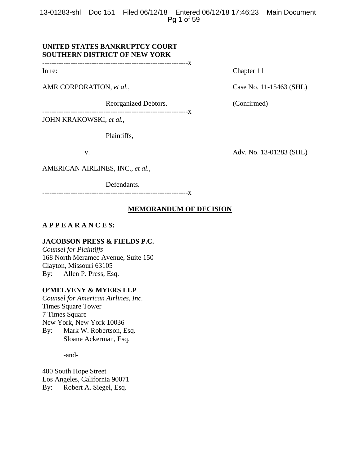13-01283-shl Doc 151 Filed 06/12/18 Entered 06/12/18 17:46:23 Main Document Pg 1 of 59

# **UNITED STATES BANKRUPTCY COURT SOUTHERN DISTRICT OF NEW YORK**

--------------------------------------------------------------x

AMR CORPORATION, *et al.*, Case No. 11-15463 (SHL)

Reorganized Debtors. (Confirmed)

--------------------------------------------------------------x

JOHN KRAKOWSKI, *et al.*,

Plaintiffs,

v. Adv. No. 13-01283 (SHL)

AMERICAN AIRLINES, INC., *et al.*,

Defendants.

--------------------------------------------------------------x

# **MEMORANDUM OF DECISION**

# **A P P E A R A N C E S:**

### **JACOBSON PRESS & FIELDS P.C.**

*Counsel for Plaintiffs*  168 North Meramec Avenue, Suite 150 Clayton, Missouri 63105 By: Allen P. Press, Esq.

## **O'MELVENY & MYERS LLP**

*Counsel for American Airlines, Inc.*  Times Square Tower 7 Times Square New York, New York 10036 By: Mark W. Robertson, Esq. Sloane Ackerman, Esq.

-and-

400 South Hope Street Los Angeles, California 90071 By: Robert A. Siegel, Esq.

In re: Chapter 11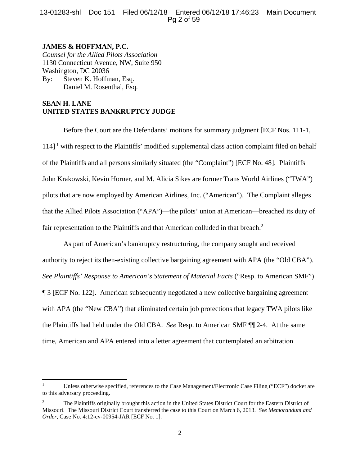# 13-01283-shl Doc 151 Filed 06/12/18 Entered 06/12/18 17:46:23 Main Document Pg 2 of 59

# **JAMES & HOFFMAN, P.C.**

*Counsel for the Allied Pilots Association*  1130 Connecticut Avenue, NW, Suite 950 Washington, DC 20036 By: Steven K. Hoffman, Esq. Daniel M. Rosenthal, Esq.

# **SEAN H. LANE UNITED STATES BANKRUPTCY JUDGE**

Before the Court are the Defendants' motions for summary judgment [ECF Nos. 111-1,  $114$ <sup>1</sup> with respect to the Plaintiffs' modified supplemental class action complaint filed on behalf of the Plaintiffs and all persons similarly situated (the "Complaint") [ECF No. 48]. Plaintiffs John Krakowski, Kevin Horner, and M. Alicia Sikes are former Trans World Airlines ("TWA") pilots that are now employed by American Airlines, Inc. ("American"). The Complaint alleges that the Allied Pilots Association ("APA")—the pilots' union at American—breached its duty of fair representation to the Plaintiffs and that American colluded in that breach.<sup>2</sup>

As part of American's bankruptcy restructuring, the company sought and received authority to reject its then-existing collective bargaining agreement with APA (the "Old CBA"). *See Plaintiffs' Response to American's Statement of Material Facts* ("Resp. to American SMF") ¶ 3 [ECF No. 122]. American subsequently negotiated a new collective bargaining agreement with APA (the "New CBA") that eliminated certain job protections that legacy TWA pilots like the Plaintiffs had held under the Old CBA. *See* Resp. to American SMF ¶¶ 2-4. At the same time, American and APA entered into a letter agreement that contemplated an arbitration

<sup>1</sup> Unless otherwise specified, references to the Case Management/Electronic Case Filing ("ECF") docket are to this adversary proceeding.

<sup>2</sup> The Plaintiffs originally brought this action in the United States District Court for the Eastern District of Missouri. The Missouri District Court transferred the case to this Court on March 6, 2013. *See Memorandum and Order*, Case No. 4:12-cv-00954-JAR [ECF No. 1].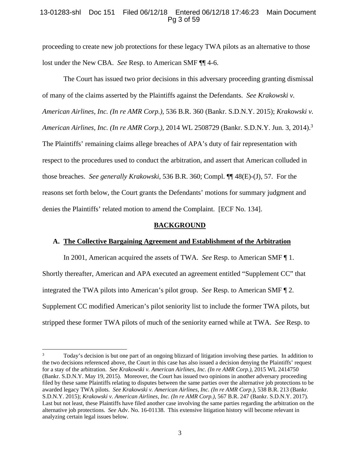## 13-01283-shl Doc 151 Filed 06/12/18 Entered 06/12/18 17:46:23 Main Document Pg 3 of 59

proceeding to create new job protections for these legacy TWA pilots as an alternative to those lost under the New CBA. *See* Resp. to American SMF ¶¶ 4-6.

The Court has issued two prior decisions in this adversary proceeding granting dismissal of many of the claims asserted by the Plaintiffs against the Defendants. *See Krakowski v. American Airlines, Inc. (In re AMR Corp.)*, 536 B.R. 360 (Bankr. S.D.N.Y. 2015); *Krakowski v. American Airlines, Inc. (In re AMR Corp.)*, 2014 WL 2508729 (Bankr. S.D.N.Y. Jun. 3, 2014).<sup>3</sup> The Plaintiffs' remaining claims allege breaches of APA's duty of fair representation with respect to the procedures used to conduct the arbitration, and assert that American colluded in those breaches. *See generally Krakowski*, 536 B.R. 360; Compl. ¶¶ 48(E)-(J), 57. For the reasons set forth below, the Court grants the Defendants' motions for summary judgment and denies the Plaintiffs' related motion to amend the Complaint. [ECF No. 134].

#### **BACKGROUND**

#### **A. The Collective Bargaining Agreement and Establishment of the Arbitration**

In 2001, American acquired the assets of TWA. *See* Resp. to American SMF ¶ 1. Shortly thereafter, American and APA executed an agreement entitled "Supplement CC" that integrated the TWA pilots into American's pilot group. *See* Resp. to American SMF ¶ 2. Supplement CC modified American's pilot seniority list to include the former TWA pilots, but stripped these former TWA pilots of much of the seniority earned while at TWA. *See* Resp. to

<sup>3</sup> Today's decision is but one part of an ongoing blizzard of litigation involving these parties. In addition to the two decisions referenced above, the Court in this case has also issued a decision denying the Plaintiffs' request for a stay of the arbitration. *See Krakowski v. American Airlines, Inc. (In re AMR Corp.)*, 2015 WL 2414750 (Bankr. S.D.N.Y. May 19, 2015). Moreover, the Court has issued two opinions in another adversary proceeding filed by these same Plaintiffs relating to disputes between the same parties over the alternative job protections to be awarded legacy TWA pilots. *See Krakowski v. American Airlines, Inc. (In re AMR Corp.)*, 538 B.R. 213 (Bankr. S.D.N.Y. 2015); *Krakowski v. American Airlines, Inc. (In re AMR Corp.)*, 567 B.R. 247 (Bankr. S.D.N.Y. 2017). Last but not least, these Plaintiffs have filed another case involving the same parties regarding the arbitration on the alternative job protections. *See* Adv. No. 16-01138. This extensive litigation history will become relevant in analyzing certain legal issues below.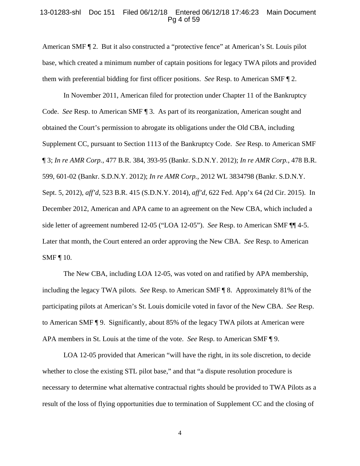#### 13-01283-shl Doc 151 Filed 06/12/18 Entered 06/12/18 17:46:23 Main Document Pg 4 of 59

American SMF ¶ 2. But it also constructed a "protective fence" at American's St. Louis pilot base, which created a minimum number of captain positions for legacy TWA pilots and provided them with preferential bidding for first officer positions. *See* Resp. to American SMF ¶ 2.

 In November 2011, American filed for protection under Chapter 11 of the Bankruptcy Code. *See* Resp. to American SMF ¶ 3. As part of its reorganization, American sought and obtained the Court's permission to abrogate its obligations under the Old CBA, including Supplement CC, pursuant to Section 1113 of the Bankruptcy Code. *See* Resp. to American SMF ¶ 3; *In re AMR Corp.*, 477 B.R. 384, 393-95 (Bankr. S.D.N.Y. 2012); *In re AMR Corp.*, 478 B.R. 599, 601-02 (Bankr. S.D.N.Y. 2012); *In re AMR Corp.*, 2012 WL 3834798 (Bankr. S.D.N.Y. Sept. 5, 2012), *aff'd*, 523 B.R. 415 (S.D.N.Y. 2014), *aff'd*, 622 Fed. App'x 64 (2d Cir. 2015). In December 2012, American and APA came to an agreement on the New CBA, which included a side letter of agreement numbered 12-05 ("LOA 12-05"). *See* Resp. to American SMF ¶¶ 4-5. Later that month, the Court entered an order approving the New CBA. *See* Resp. to American SMF ¶ 10.

The New CBA, including LOA 12-05, was voted on and ratified by APA membership, including the legacy TWA pilots. *See* Resp. to American SMF ¶ 8. Approximately 81% of the participating pilots at American's St. Louis domicile voted in favor of the New CBA. *See* Resp. to American SMF ¶ 9. Significantly, about 85% of the legacy TWA pilots at American were APA members in St. Louis at the time of the vote. *See* Resp. to American SMF ¶ 9.

LOA 12-05 provided that American "will have the right, in its sole discretion, to decide whether to close the existing STL pilot base," and that "a dispute resolution procedure is necessary to determine what alternative contractual rights should be provided to TWA Pilots as a result of the loss of flying opportunities due to termination of Supplement CC and the closing of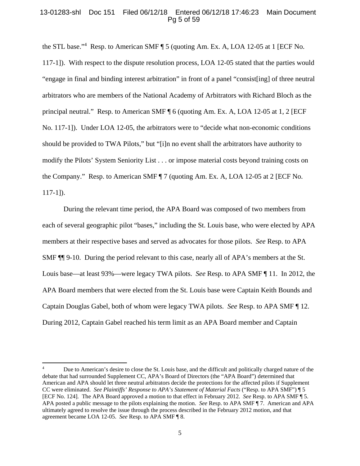### 13-01283-shl Doc 151 Filed 06/12/18 Entered 06/12/18 17:46:23 Main Document Pg 5 of 59

the STL base."<sup>4</sup> Resp. to American SMF ¶ 5 (quoting Am. Ex. A, LOA 12-05 at 1 [ECF No. 117-1]). With respect to the dispute resolution process, LOA 12-05 stated that the parties would "engage in final and binding interest arbitration" in front of a panel "consist[ing] of three neutral arbitrators who are members of the National Academy of Arbitrators with Richard Bloch as the principal neutral." Resp. to American SMF ¶ 6 (quoting Am. Ex. A, LOA 12-05 at 1, 2 [ECF No. 117-1]). Under LOA 12-05, the arbitrators were to "decide what non-economic conditions should be provided to TWA Pilots," but "[i]n no event shall the arbitrators have authority to modify the Pilots' System Seniority List . . . or impose material costs beyond training costs on the Company." Resp. to American SMF ¶ 7 (quoting Am. Ex. A, LOA 12-05 at 2 [ECF No. 117-1]).

During the relevant time period, the APA Board was composed of two members from each of several geographic pilot "bases," including the St. Louis base, who were elected by APA members at their respective bases and served as advocates for those pilots. *See* Resp. to APA SMF ¶¶ 9-10. During the period relevant to this case, nearly all of APA's members at the St. Louis base—at least 93%—were legacy TWA pilots. *See* Resp. to APA SMF ¶ 11. In 2012, the APA Board members that were elected from the St. Louis base were Captain Keith Bounds and Captain Douglas Gabel, both of whom were legacy TWA pilots. *See* Resp. to APA SMF ¶ 12. During 2012, Captain Gabel reached his term limit as an APA Board member and Captain

<sup>4</sup> Due to American's desire to close the St. Louis base, and the difficult and politically charged nature of the debate that had surrounded Supplement CC, APA's Board of Directors (the "APA Board") determined that American and APA should let three neutral arbitrators decide the protections for the affected pilots if Supplement CC were eliminated. *See Plaintiffs' Response to APA's Statement of Material Facts* ("Resp. to APA SMF") ¶ 5 [ECF No. 124]. The APA Board approved a motion to that effect in February 2012. *See* Resp. to APA SMF ¶ 5. APA posted a public message to the pilots explaining the motion. *See* Resp. to APA SMF ¶ 7. American and APA ultimately agreed to resolve the issue through the process described in the February 2012 motion, and that agreement became LOA 12-05. *See* Resp. to APA SMF ¶ 8.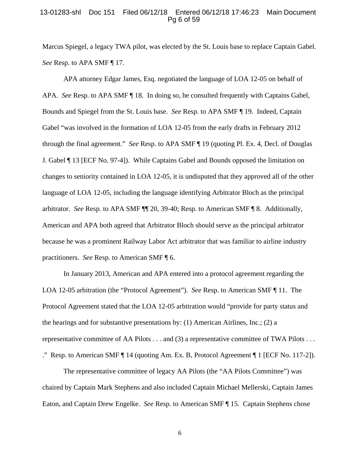#### 13-01283-shl Doc 151 Filed 06/12/18 Entered 06/12/18 17:46:23 Main Document Pg 6 of 59

Marcus Spiegel, a legacy TWA pilot, was elected by the St. Louis base to replace Captain Gabel. *See* Resp. to APA SMF ¶ 17.

 APA attorney Edgar James, Esq. negotiated the language of LOA 12-05 on behalf of APA. *See* Resp. to APA SMF ¶ 18. In doing so, he consulted frequently with Captains Gabel, Bounds and Spiegel from the St. Louis base. *See* Resp. to APA SMF ¶ 19. Indeed, Captain Gabel "was involved in the formation of LOA 12-05 from the early drafts in February 2012 through the final agreement." *See* Resp. to APA SMF ¶ 19 (quoting Pl. Ex. 4, Decl. of Douglas J. Gabel ¶ 13 [ECF No. 97-4]). While Captains Gabel and Bounds opposed the limitation on changes to seniority contained in LOA 12-05, it is undisputed that they approved all of the other language of LOA 12-05, including the language identifying Arbitrator Bloch as the principal arbitrator. *See* Resp. to APA SMF ¶¶ 20, 39-40; Resp. to American SMF ¶ 8. Additionally, American and APA both agreed that Arbitrator Bloch should serve as the principal arbitrator because he was a prominent Railway Labor Act arbitrator that was familiar to airline industry practitioners. *See* Resp. to American SMF ¶ 6.

 In January 2013, American and APA entered into a protocol agreement regarding the LOA 12-05 arbitration (the "Protocol Agreement"). *See* Resp. to American SMF ¶ 11. The Protocol Agreement stated that the LOA 12-05 arbitration would "provide for party status and the hearings and for substantive presentations by: (1) American Airlines, Inc.; (2) a representative committee of AA Pilots . . . and (3) a representative committee of TWA Pilots . . . ." Resp. to American SMF ¶ 14 (quoting Am. Ex. B, Protocol Agreement ¶ 1 [ECF No. 117-2]).

The representative committee of legacy AA Pilots (the "AA Pilots Committee") was chaired by Captain Mark Stephens and also included Captain Michael Mellerski, Captain James Eaton, and Captain Drew Engelke. *See* Resp. to American SMF ¶ 15. Captain Stephens chose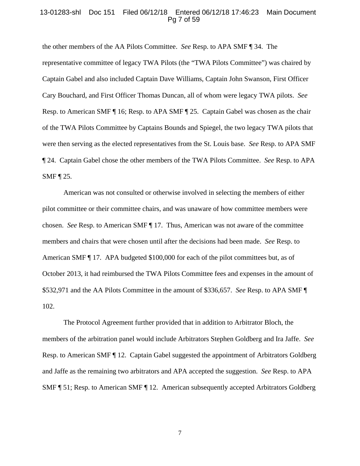#### 13-01283-shl Doc 151 Filed 06/12/18 Entered 06/12/18 17:46:23 Main Document Pg 7 of 59

the other members of the AA Pilots Committee. *See* Resp. to APA SMF ¶ 34. The representative committee of legacy TWA Pilots (the "TWA Pilots Committee") was chaired by Captain Gabel and also included Captain Dave Williams, Captain John Swanson, First Officer Cary Bouchard, and First Officer Thomas Duncan, all of whom were legacy TWA pilots. *See*  Resp. to American SMF ¶ 16; Resp. to APA SMF ¶ 25. Captain Gabel was chosen as the chair of the TWA Pilots Committee by Captains Bounds and Spiegel, the two legacy TWA pilots that were then serving as the elected representatives from the St. Louis base. *See* Resp. to APA SMF ¶ 24. Captain Gabel chose the other members of the TWA Pilots Committee. *See* Resp. to APA SMF ¶ 25.

American was not consulted or otherwise involved in selecting the members of either pilot committee or their committee chairs, and was unaware of how committee members were chosen. *See* Resp. to American SMF ¶ 17. Thus, American was not aware of the committee members and chairs that were chosen until after the decisions had been made. *See* Resp. to American SMF ¶ 17. APA budgeted \$100,000 for each of the pilot committees but, as of October 2013, it had reimbursed the TWA Pilots Committee fees and expenses in the amount of \$532,971 and the AA Pilots Committee in the amount of \$336,657. *See* Resp. to APA SMF ¶ 102.

The Protocol Agreement further provided that in addition to Arbitrator Bloch, the members of the arbitration panel would include Arbitrators Stephen Goldberg and Ira Jaffe. *See*  Resp. to American SMF ¶ 12. Captain Gabel suggested the appointment of Arbitrators Goldberg and Jaffe as the remaining two arbitrators and APA accepted the suggestion. *See* Resp. to APA SMF ¶ 51; Resp. to American SMF ¶ 12. American subsequently accepted Arbitrators Goldberg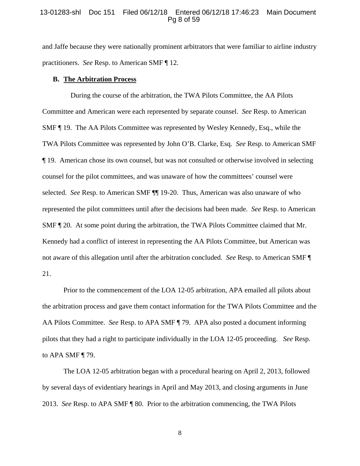#### 13-01283-shl Doc 151 Filed 06/12/18 Entered 06/12/18 17:46:23 Main Document Pg 8 of 59

and Jaffe because they were nationally prominent arbitrators that were familiar to airline industry practitioners. *See* Resp. to American SMF ¶ 12.

## **B. The Arbitration Process**

 During the course of the arbitration, the TWA Pilots Committee, the AA Pilots Committee and American were each represented by separate counsel. *See* Resp. to American SMF ¶ 19. The AA Pilots Committee was represented by Wesley Kennedy, Esq., while the TWA Pilots Committee was represented by John O'B. Clarke, Esq. *See* Resp. to American SMF ¶ 19. American chose its own counsel, but was not consulted or otherwise involved in selecting counsel for the pilot committees, and was unaware of how the committees' counsel were selected. *See* Resp. to American SMF ¶¶ 19-20. Thus, American was also unaware of who represented the pilot committees until after the decisions had been made. *See* Resp. to American SMF ¶ 20. At some point during the arbitration, the TWA Pilots Committee claimed that Mr. Kennedy had a conflict of interest in representing the AA Pilots Committee, but American was not aware of this allegation until after the arbitration concluded. *See* Resp. to American SMF ¶ 21.

 Prior to the commencement of the LOA 12-05 arbitration, APA emailed all pilots about the arbitration process and gave them contact information for the TWA Pilots Committee and the AA Pilots Committee. *See* Resp. to APA SMF ¶ 79. APA also posted a document informing pilots that they had a right to participate individually in the LOA 12-05 proceeding. *See* Resp. to APA SMF ¶ 79.

The LOA 12-05 arbitration began with a procedural hearing on April 2, 2013, followed by several days of evidentiary hearings in April and May 2013, and closing arguments in June 2013. *See* Resp. to APA SMF ¶ 80. Prior to the arbitration commencing, the TWA Pilots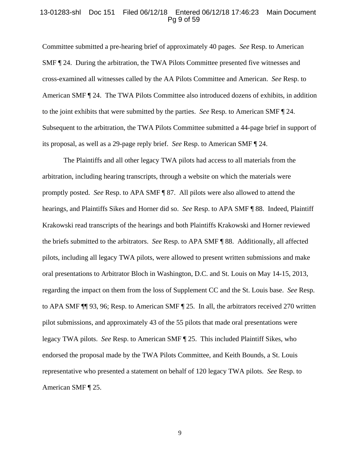#### 13-01283-shl Doc 151 Filed 06/12/18 Entered 06/12/18 17:46:23 Main Document Pg 9 of 59

Committee submitted a pre-hearing brief of approximately 40 pages. *See* Resp. to American SMF ¶ 24. During the arbitration, the TWA Pilots Committee presented five witnesses and cross-examined all witnesses called by the AA Pilots Committee and American. *See* Resp. to American SMF ¶ 24. The TWA Pilots Committee also introduced dozens of exhibits, in addition to the joint exhibits that were submitted by the parties. *See* Resp. to American SMF ¶ 24. Subsequent to the arbitration, the TWA Pilots Committee submitted a 44-page brief in support of its proposal, as well as a 29-page reply brief. *See* Resp. to American SMF ¶ 24.

The Plaintiffs and all other legacy TWA pilots had access to all materials from the arbitration, including hearing transcripts, through a website on which the materials were promptly posted. *See* Resp. to APA SMF ¶ 87. All pilots were also allowed to attend the hearings, and Plaintiffs Sikes and Horner did so. *See* Resp. to APA SMF ¶ 88. Indeed, Plaintiff Krakowski read transcripts of the hearings and both Plaintiffs Krakowski and Horner reviewed the briefs submitted to the arbitrators. *See* Resp. to APA SMF ¶ 88. Additionally, all affected pilots, including all legacy TWA pilots, were allowed to present written submissions and make oral presentations to Arbitrator Bloch in Washington, D.C. and St. Louis on May 14-15, 2013, regarding the impact on them from the loss of Supplement CC and the St. Louis base. *See* Resp. to APA SMF ¶¶ 93, 96; Resp. to American SMF ¶ 25. In all, the arbitrators received 270 written pilot submissions, and approximately 43 of the 55 pilots that made oral presentations were legacy TWA pilots. *See* Resp. to American SMF ¶ 25. This included Plaintiff Sikes, who endorsed the proposal made by the TWA Pilots Committee, and Keith Bounds, a St. Louis representative who presented a statement on behalf of 120 legacy TWA pilots. *See* Resp. to American SMF ¶ 25.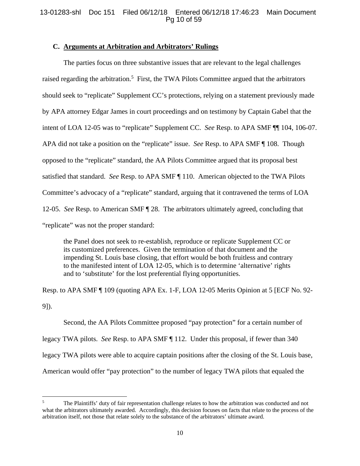# 13-01283-shl Doc 151 Filed 06/12/18 Entered 06/12/18 17:46:23 Main Document Pg 10 of 59

## **C. Arguments at Arbitration and Arbitrators' Rulings**

The parties focus on three substantive issues that are relevant to the legal challenges raised regarding the arbitration.<sup>5</sup> First, the TWA Pilots Committee argued that the arbitrators should seek to "replicate" Supplement CC's protections, relying on a statement previously made by APA attorney Edgar James in court proceedings and on testimony by Captain Gabel that the intent of LOA 12-05 was to "replicate" Supplement CC. *See* Resp. to APA SMF ¶¶ 104, 106-07. APA did not take a position on the "replicate" issue. *See* Resp. to APA SMF ¶ 108. Though opposed to the "replicate" standard, the AA Pilots Committee argued that its proposal best satisfied that standard. *See* Resp. to APA SMF ¶ 110. American objected to the TWA Pilots Committee's advocacy of a "replicate" standard, arguing that it contravened the terms of LOA 12-05. *See* Resp. to American SMF ¶ 28. The arbitrators ultimately agreed, concluding that "replicate" was not the proper standard:

the Panel does not seek to re-establish, reproduce or replicate Supplement CC or its customized preferences. Given the termination of that document and the impending St. Louis base closing, that effort would be both fruitless and contrary to the manifested intent of LOA 12-05, which is to determine 'alternative' rights and to 'substitute' for the lost preferential flying opportunities.

Resp. to APA SMF ¶ 109 (quoting APA Ex. 1-F, LOA 12-05 Merits Opinion at 5 [ECF No. 92- 9]).

 Second, the AA Pilots Committee proposed "pay protection" for a certain number of legacy TWA pilots. *See* Resp. to APA SMF ¶ 112. Under this proposal, if fewer than 340 legacy TWA pilots were able to acquire captain positions after the closing of the St. Louis base, American would offer "pay protection" to the number of legacy TWA pilots that equaled the

<sup>5</sup> The Plaintiffs' duty of fair representation challenge relates to how the arbitration was conducted and not what the arbitrators ultimately awarded. Accordingly, this decision focuses on facts that relate to the process of the arbitration itself, not those that relate solely to the substance of the arbitrators' ultimate award.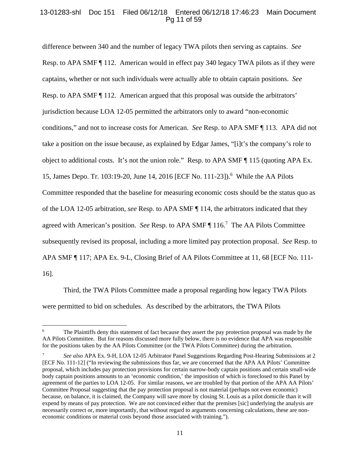# 13-01283-shl Doc 151 Filed 06/12/18 Entered 06/12/18 17:46:23 Main Document Pg 11 of 59

difference between 340 and the number of legacy TWA pilots then serving as captains. *See*  Resp. to APA SMF ¶ 112. American would in effect pay 340 legacy TWA pilots as if they were captains, whether or not such individuals were actually able to obtain captain positions. *See*  Resp. to APA SMF ¶ 112. American argued that this proposal was outside the arbitrators' jurisdiction because LOA 12-05 permitted the arbitrators only to award "non-economic conditions," and not to increase costs for American. *See* Resp. to APA SMF ¶ 113. APA did not take a position on the issue because, as explained by Edgar James, "[i]t's the company's role to object to additional costs. It's not the union role." Resp. to APA SMF ¶ 115 (quoting APA Ex. 15, James Depo. Tr. 103:19-20, June 14, 2016 [ECF No. 111-23]).<sup>6</sup> While the AA Pilots Committee responded that the baseline for measuring economic costs should be the status quo as of the LOA 12-05 arbitration, *see* Resp. to APA SMF ¶ 114, the arbitrators indicated that they agreed with American's position. *See* Resp. to APA SMF ¶ 116.<sup>7</sup> The AA Pilots Committee subsequently revised its proposal, including a more limited pay protection proposal. *See* Resp. to APA SMF ¶ 117; APA Ex. 9-L, Closing Brief of AA Pilots Committee at 11, 68 [ECF No. 111- 16].

 Third, the TWA Pilots Committee made a proposal regarding how legacy TWA Pilots were permitted to bid on schedules. As described by the arbitrators, the TWA Pilots

<sup>6</sup> The Plaintiffs deny this statement of fact because they assert the pay protection proposal was made by the AA Pilots Committee. But for reasons discussed more fully below, there is no evidence that APA was responsible for the positions taken by the AA Pilots Committee (or the TWA Pilots Committee) during the arbitration.

<sup>7</sup> *See also* APA Ex. 9-H, LOA 12-05 Arbitrator Panel Suggestions Regarding Post-Hearing Submissions at 2 [ECF No. 111-12] ("In reviewing the submissions thus far, we are concerned that the APA AA Pilots' Committee proposal, which includes pay protection provisions for certain narrow-body captain positions and certain small-wide body captain positions amounts to an 'economic condition,' the imposition of which is foreclosed to this Panel by agreement of the parties to LOA 12-05. For similar reasons, we are troubled by that portion of the APA AA Pilots' Committee Proposal suggesting that the pay protection proposal is not material (perhaps not even economic) because, on balance, it is claimed, the Company will save more by closing St. Louis as a pilot domicile than it will expend by means of pay protection. We are not convinced either that the premises [sic] underlying the analysis are necessarily correct or, more importantly, that without regard to arguments concerning calculations, these are noneconomic conditions or material costs beyond those associated with training.").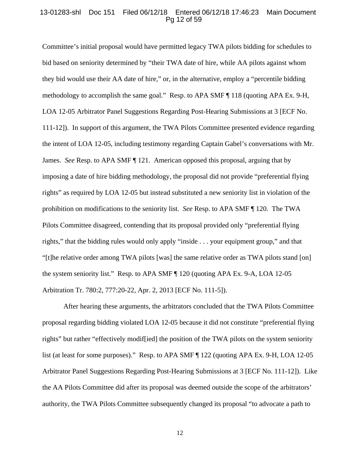## 13-01283-shl Doc 151 Filed 06/12/18 Entered 06/12/18 17:46:23 Main Document Pg 12 of 59

Committee's initial proposal would have permitted legacy TWA pilots bidding for schedules to bid based on seniority determined by "their TWA date of hire, while AA pilots against whom they bid would use their AA date of hire," or, in the alternative, employ a "percentile bidding methodology to accomplish the same goal." Resp. to APA SMF ¶ 118 (quoting APA Ex. 9-H, LOA 12-05 Arbitrator Panel Suggestions Regarding Post-Hearing Submissions at 3 [ECF No. 111-12]). In support of this argument, the TWA Pilots Committee presented evidence regarding the intent of LOA 12-05, including testimony regarding Captain Gabel's conversations with Mr. James. *See* Resp. to APA SMF ¶ 121. American opposed this proposal, arguing that by imposing a date of hire bidding methodology, the proposal did not provide "preferential flying rights" as required by LOA 12-05 but instead substituted a new seniority list in violation of the prohibition on modifications to the seniority list. *See* Resp. to APA SMF ¶ 120. The TWA Pilots Committee disagreed, contending that its proposal provided only "preferential flying rights," that the bidding rules would only apply "inside . . . your equipment group," and that "[t]he relative order among TWA pilots [was] the same relative order as TWA pilots stand [on] the system seniority list." Resp. to APA SMF ¶ 120 (quoting APA Ex. 9-A, LOA 12-05 Arbitration Tr. 780:2, 777:20-22, Apr. 2, 2013 [ECF No. 111-5]).

After hearing these arguments, the arbitrators concluded that the TWA Pilots Committee proposal regarding bidding violated LOA 12-05 because it did not constitute "preferential flying rights" but rather "effectively modif[ied] the position of the TWA pilots on the system seniority list (at least for some purposes)." Resp. to APA SMF ¶ 122 (quoting APA Ex. 9-H, LOA 12-05 Arbitrator Panel Suggestions Regarding Post-Hearing Submissions at 3 [ECF No. 111-12]). Like the AA Pilots Committee did after its proposal was deemed outside the scope of the arbitrators' authority, the TWA Pilots Committee subsequently changed its proposal "to advocate a path to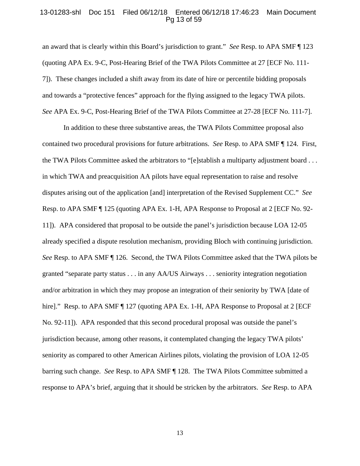## 13-01283-shl Doc 151 Filed 06/12/18 Entered 06/12/18 17:46:23 Main Document Pg 13 of 59

an award that is clearly within this Board's jurisdiction to grant." *See* Resp. to APA SMF ¶ 123 (quoting APA Ex. 9-C, Post-Hearing Brief of the TWA Pilots Committee at 27 [ECF No. 111- 7]). These changes included a shift away from its date of hire or percentile bidding proposals and towards a "protective fences" approach for the flying assigned to the legacy TWA pilots. *See* APA Ex. 9-C, Post-Hearing Brief of the TWA Pilots Committee at 27-28 [ECF No. 111-7].

In addition to these three substantive areas, the TWA Pilots Committee proposal also contained two procedural provisions for future arbitrations. *See* Resp. to APA SMF ¶ 124. First, the TWA Pilots Committee asked the arbitrators to "[e]stablish a multiparty adjustment board . . . in which TWA and preacquisition AA pilots have equal representation to raise and resolve disputes arising out of the application [and] interpretation of the Revised Supplement CC." *See*  Resp. to APA SMF ¶ 125 (quoting APA Ex. 1-H, APA Response to Proposal at 2 [ECF No. 92- 11]). APA considered that proposal to be outside the panel's jurisdiction because LOA 12-05 already specified a dispute resolution mechanism, providing Bloch with continuing jurisdiction. *See* Resp. to APA SMF ¶ 126. Second, the TWA Pilots Committee asked that the TWA pilots be granted "separate party status . . . in any AA/US Airways . . . seniority integration negotiation and/or arbitration in which they may propose an integration of their seniority by TWA [date of hire]." Resp. to APA SMF [ 127 (quoting APA Ex. 1-H, APA Response to Proposal at 2 [ECF No. 92-11]). APA responded that this second procedural proposal was outside the panel's jurisdiction because, among other reasons, it contemplated changing the legacy TWA pilots' seniority as compared to other American Airlines pilots, violating the provision of LOA 12-05 barring such change. *See* Resp. to APA SMF ¶ 128. The TWA Pilots Committee submitted a response to APA's brief, arguing that it should be stricken by the arbitrators. *See* Resp. to APA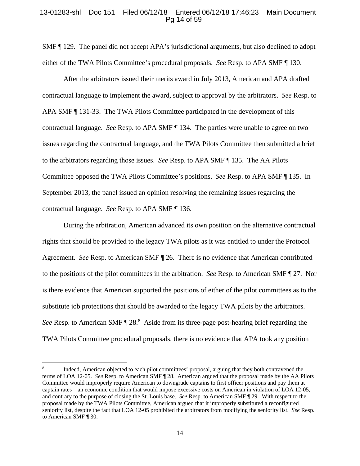## 13-01283-shl Doc 151 Filed 06/12/18 Entered 06/12/18 17:46:23 Main Document Pg 14 of 59

SMF ¶ 129. The panel did not accept APA's jurisdictional arguments, but also declined to adopt either of the TWA Pilots Committee's procedural proposals. *See* Resp. to APA SMF ¶ 130.

 After the arbitrators issued their merits award in July 2013, American and APA drafted contractual language to implement the award, subject to approval by the arbitrators. *See* Resp. to APA SMF ¶ 131-33. The TWA Pilots Committee participated in the development of this contractual language. *See* Resp. to APA SMF ¶ 134. The parties were unable to agree on two issues regarding the contractual language, and the TWA Pilots Committee then submitted a brief to the arbitrators regarding those issues. *See* Resp. to APA SMF ¶ 135. The AA Pilots Committee opposed the TWA Pilots Committee's positions. *See* Resp. to APA SMF ¶ 135. In September 2013, the panel issued an opinion resolving the remaining issues regarding the contractual language. *See* Resp. to APA SMF ¶ 136.

During the arbitration, American advanced its own position on the alternative contractual rights that should be provided to the legacy TWA pilots as it was entitled to under the Protocol Agreement. *See* Resp. to American SMF ¶ 26. There is no evidence that American contributed to the positions of the pilot committees in the arbitration. *See* Resp. to American SMF ¶ 27. Nor is there evidence that American supported the positions of either of the pilot committees as to the substitute job protections that should be awarded to the legacy TWA pilots by the arbitrators. See Resp. to American SMF  $\P$  28.<sup>8</sup> Aside from its three-page post-hearing brief regarding the TWA Pilots Committee procedural proposals, there is no evidence that APA took any position

<sup>8</sup> Indeed, American objected to each pilot committees' proposal, arguing that they both contravened the terms of LOA 12-05. *See* Resp. to American SMF ¶ 28. American argued that the proposal made by the AA Pilots Committee would improperly require American to downgrade captains to first officer positions and pay them at captain rates—an economic condition that would impose excessive costs on American in violation of LOA 12-05, and contrary to the purpose of closing the St. Louis base. *See* Resp. to American SMF ¶ 29. With respect to the proposal made by the TWA Pilots Committee, American argued that it improperly substituted a reconfigured seniority list, despite the fact that LOA 12-05 prohibited the arbitrators from modifying the seniority list. *See* Resp. to American SMF ¶ 30.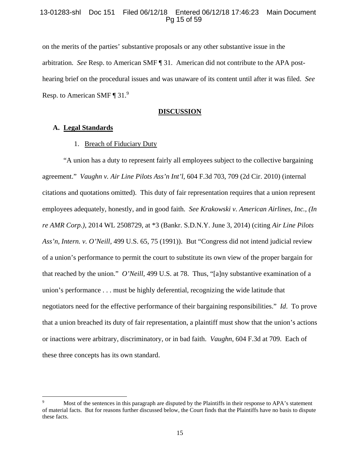# 13-01283-shl Doc 151 Filed 06/12/18 Entered 06/12/18 17:46:23 Main Document Pg 15 of 59

on the merits of the parties' substantive proposals or any other substantive issue in the arbitration. *See* Resp. to American SMF ¶ 31. American did not contribute to the APA posthearing brief on the procedural issues and was unaware of its content until after it was filed. *See* Resp. to American SMF ¶ 31.<sup>9</sup>

#### **DISCUSSION**

## **A. Legal Standards**

### 1. Breach of Fiduciary Duty

"A union has a duty to represent fairly all employees subject to the collective bargaining agreement." *Vaughn v. Air Line Pilots Ass'n Int'l*, 604 F.3d 703, 709 (2d Cir. 2010) (internal citations and quotations omitted). This duty of fair representation requires that a union represent employees adequately, honestly, and in good faith. *See Krakowski v. American Airlines, Inc., (In re AMR Corp.)*, 2014 WL 2508729, at \*3 (Bankr. S.D.N.Y. June 3, 2014) (citing *Air Line Pilots Ass'n, Intern. v. O'Neill,* 499 U.S. 65, 75 (1991)). But "Congress did not intend judicial review of a union's performance to permit the court to substitute its own view of the proper bargain for that reached by the union." *O'Neill*, 499 U.S. at 78. Thus, "[a]ny substantive examination of a union's performance . . . must be highly deferential, recognizing the wide latitude that negotiators need for the effective performance of their bargaining responsibilities." *Id*. To prove that a union breached its duty of fair representation, a plaintiff must show that the union's actions or inactions were arbitrary, discriminatory, or in bad faith. *Vaughn*, 604 F.3d at 709. Each of these three concepts has its own standard.

<sup>9</sup> Most of the sentences in this paragraph are disputed by the Plaintiffs in their response to APA's statement of material facts. But for reasons further discussed below, the Court finds that the Plaintiffs have no basis to dispute these facts.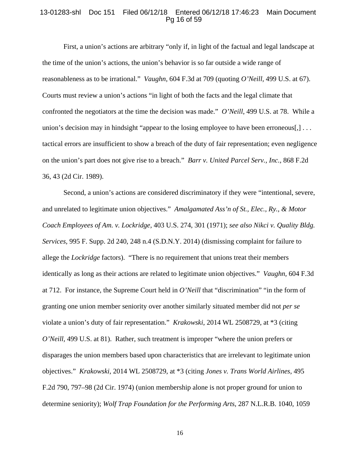#### 13-01283-shl Doc 151 Filed 06/12/18 Entered 06/12/18 17:46:23 Main Document Pg 16 of 59

First, a union's actions are arbitrary "only if, in light of the factual and legal landscape at the time of the union's actions, the union's behavior is so far outside a wide range of reasonableness as to be irrational." *Vaughn*, 604 F.3d at 709 (quoting *O'Neill,* 499 U.S. at 67). Courts must review a union's actions "in light of both the facts and the legal climate that confronted the negotiators at the time the decision was made." *O'Neill*, 499 U.S. at 78. While a union's decision may in hindsight "appear to the losing employee to have been erroneous[,]... tactical errors are insufficient to show a breach of the duty of fair representation; even negligence on the union's part does not give rise to a breach." *Barr v. United Parcel Serv., Inc.,* 868 F.2d 36, 43 (2d Cir. 1989).

Second, a union's actions are considered discriminatory if they were "intentional, severe, and unrelated to legitimate union objectives." *Amalgamated Ass'n of St., Elec., Ry., & Motor Coach Employees of Am. v. Lockridge,* 403 U.S. 274, 301 (1971); *see also Nikci v. Quality Bldg. Services,* 995 F. Supp. 2d 240, 248 n.4 (S.D.N.Y. 2014) (dismissing complaint for failure to allege the *Lockridge* factors). "There is no requirement that unions treat their members identically as long as their actions are related to legitimate union objectives." *Vaughn,* 604 F.3d at 712. For instance, the Supreme Court held in *O'Neill* that "discrimination" "in the form of granting one union member seniority over another similarly situated member did not *per se* violate a union's duty of fair representation." *Krakowski*, 2014 WL 2508729, at \*3 (citing *O'Neill,* 499 U.S. at 81). Rather, such treatment is improper "where the union prefers or disparages the union members based upon characteristics that are irrelevant to legitimate union objectives." *Krakowski*, 2014 WL 2508729, at \*3 (citing *Jones v. Trans World Airlines,* 495 F.2d 790, 797–98 (2d Cir. 1974) (union membership alone is not proper ground for union to determine seniority); *Wolf Trap Foundation for the Performing Arts,* 287 N.L.R.B. 1040, 1059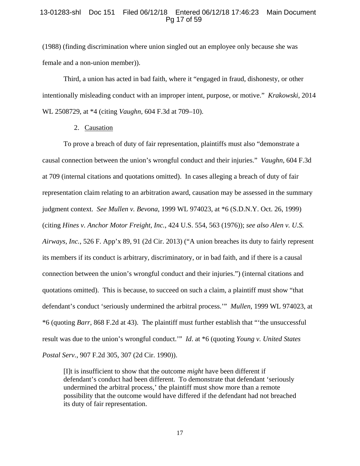# 13-01283-shl Doc 151 Filed 06/12/18 Entered 06/12/18 17:46:23 Main Document Pg 17 of 59

(1988) (finding discrimination where union singled out an employee only because she was female and a non-union member)).

Third, a union has acted in bad faith, where it "engaged in fraud, dishonesty, or other intentionally misleading conduct with an improper intent, purpose, or motive." *Krakowski*, 2014 WL 2508729, at \*4 (citing *Vaughn,* 604 F.3d at 709–10).

2. Causation

To prove a breach of duty of fair representation, plaintiffs must also "demonstrate a causal connection between the union's wrongful conduct and their injuries." *Vaughn,* 604 F.3d at 709 (internal citations and quotations omitted). In cases alleging a breach of duty of fair representation claim relating to an arbitration award, causation may be assessed in the summary judgment context. *See Mullen v. Bevona*, 1999 WL 974023, at \*6 (S.D.N.Y. Oct. 26, 1999) (citing *Hines v. Anchor Motor Freight, Inc.*, 424 U.S. 554, 563 (1976)); *see also Alen v. U.S. Airways, Inc.*, 526 F. App'x 89, 91 (2d Cir. 2013) ("A union breaches its duty to fairly represent its members if its conduct is arbitrary, discriminatory, or in bad faith, and if there is a causal connection between the union's wrongful conduct and their injuries.") (internal citations and quotations omitted). This is because, to succeed on such a claim, a plaintiff must show "that defendant's conduct 'seriously undermined the arbitral process.'" *Mullen*, 1999 WL 974023, at \*6 (quoting *Barr*, 868 F.2d at 43). The plaintiff must further establish that "'the unsuccessful result was due to the union's wrongful conduct.'" *Id*. at \*6 (quoting *Young v. United States Postal Serv.*, 907 F.2d 305, 307 (2d Cir. 1990)).

[I]t is insufficient to show that the outcome *might* have been different if defendant's conduct had been different. To demonstrate that defendant 'seriously undermined the arbitral process,' the plaintiff must show more than a remote possibility that the outcome would have differed if the defendant had not breached its duty of fair representation.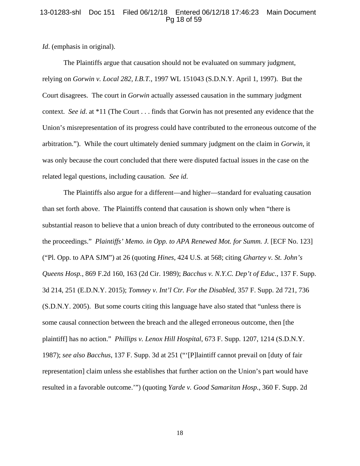## 13-01283-shl Doc 151 Filed 06/12/18 Entered 06/12/18 17:46:23 Main Document Pg 18 of 59

*Id*. (emphasis in original).

The Plaintiffs argue that causation should not be evaluated on summary judgment, relying on *Gorwin v. Local 282, I.B.T.*, 1997 WL 151043 (S.D.N.Y. April 1, 1997). But the Court disagrees. The court in *Gorwin* actually assessed causation in the summary judgment context. *See id*. at \*11 (The Court . . . finds that Gorwin has not presented any evidence that the Union's misrepresentation of its progress could have contributed to the erroneous outcome of the arbitration."). While the court ultimately denied summary judgment on the claim in *Gorwin*, it was only because the court concluded that there were disputed factual issues in the case on the related legal questions, including causation. *See id*.

The Plaintiffs also argue for a different—and higher—standard for evaluating causation than set forth above. The Plaintiffs contend that causation is shown only when "there is substantial reason to believe that a union breach of duty contributed to the erroneous outcome of the proceedings." *Plaintiffs' Memo. in Opp. to APA Renewed Mot. for Summ. J.* [ECF No. 123] ("Pl. Opp. to APA SJM") at 26 (quoting *Hines*, 424 U.S. at 568; citing *Ghartey v. St. John's Queens Hosp.*, 869 F.2d 160, 163 (2d Cir. 1989); *Bacchus v. N.Y.C. Dep't of Educ.*, 137 F. Supp. 3d 214, 251 (E.D.N.Y. 2015); *Tomney v. Int'l Ctr. For the Disabled*, 357 F. Supp. 2d 721, 736 (S.D.N.Y. 2005). But some courts citing this language have also stated that "unless there is some causal connection between the breach and the alleged erroneous outcome, then [the plaintiff] has no action." *Phillips v. Lenox Hill Hospital*, 673 F. Supp. 1207, 1214 (S.D.N.Y. 1987); *see also Bacchus*, 137 F. Supp. 3d at 251 ("'[P]laintiff cannot prevail on [duty of fair representation] claim unless she establishes that further action on the Union's part would have resulted in a favorable outcome.'") (quoting *Yarde v. Good Samaritan Hosp.*, 360 F. Supp. 2d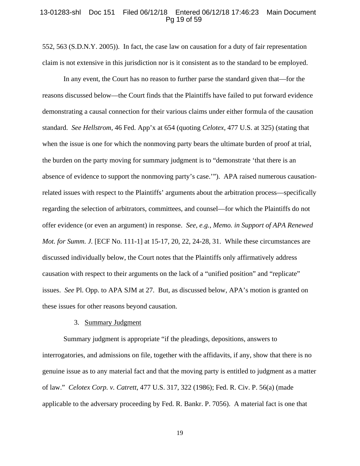#### 13-01283-shl Doc 151 Filed 06/12/18 Entered 06/12/18 17:46:23 Main Document Pg 19 of 59

552, 563 (S.D.N.Y. 2005)).In fact, the case law on causation for a duty of fair representation claim is not extensive in this jurisdiction nor is it consistent as to the standard to be employed.

In any event, the Court has no reason to further parse the standard given that—for the reasons discussed below—the Court finds that the Plaintiffs have failed to put forward evidence demonstrating a causal connection for their various claims under either formula of the causation standard. *See Hellstrom*, 46 Fed. App'x at 654 (quoting *Celotex*, 477 U.S. at 325) (stating that when the issue is one for which the nonmoving party bears the ultimate burden of proof at trial, the burden on the party moving for summary judgment is to "demonstrate 'that there is an absence of evidence to support the nonmoving party's case.'"). APA raised numerous causationrelated issues with respect to the Plaintiffs' arguments about the arbitration process—specifically regarding the selection of arbitrators, committees, and counsel—for which the Plaintiffs do not offer evidence (or even an argument) in response. *See, e.g.*, *Memo. in Support of APA Renewed Mot. for Summ. J.* [ECF No. 111-1] at 15-17, 20, 22, 24-28, 31. While these circumstances are discussed individually below, the Court notes that the Plaintiffs only affirmatively address causation with respect to their arguments on the lack of a "unified position" and "replicate" issues. *See* Pl. Opp. to APA SJM at 27. But, as discussed below, APA's motion is granted on these issues for other reasons beyond causation.

### 3. Summary Judgment

Summary judgment is appropriate "if the pleadings, depositions, answers to interrogatories, and admissions on file, together with the affidavits, if any, show that there is no genuine issue as to any material fact and that the moving party is entitled to judgment as a matter of law." *Celotex Corp. v. Catrett*, 477 U.S. 317, 322 (1986); Fed. R. Civ. P. 56(a) (made applicable to the adversary proceeding by Fed. R. Bankr. P. 7056). A material fact is one that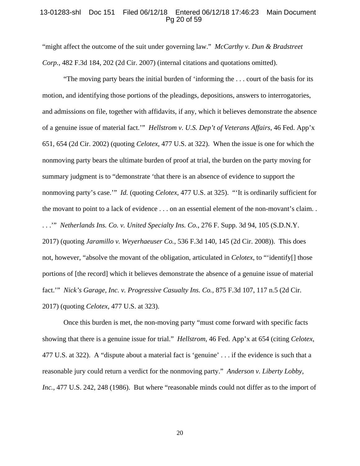## 13-01283-shl Doc 151 Filed 06/12/18 Entered 06/12/18 17:46:23 Main Document Pg 20 of 59

"might affect the outcome of the suit under governing law." *McCarthy v. Dun & Bradstreet Corp.*, 482 F.3d 184, 202 (2d Cir. 2007) (internal citations and quotations omitted).

"The moving party bears the initial burden of 'informing the . . . court of the basis for its motion, and identifying those portions of the pleadings, depositions, answers to interrogatories, and admissions on file, together with affidavits, if any, which it believes demonstrate the absence of a genuine issue of material fact.'" *Hellstrom v. U.S. Dep't of Veterans Affairs*, 46 Fed. App'x 651, 654 (2d Cir. 2002) (quoting *Celotex*, 477 U.S. at 322). When the issue is one for which the nonmoving party bears the ultimate burden of proof at trial, the burden on the party moving for summary judgment is to "demonstrate 'that there is an absence of evidence to support the nonmoving party's case.'" *Id.* (quoting *Celotex*, 477 U.S. at 325). "'It is ordinarily sufficient for the movant to point to a lack of evidence . . . on an essential element of the non-movant's claim. . . . .'" *Netherlands Ins. Co. v. United Specialty Ins. Co.*, 276 F. Supp. 3d 94, 105 (S.D.N.Y. 2017) (quoting *Jaramillo v. Weyerhaeuser Co.*, 536 F.3d 140, 145 (2d Cir. 2008)). This does not, however, "absolve the movant of the obligation, articulated in *Celotex*, to "'identify[] those portions of [the record] which it believes demonstrate the absence of a genuine issue of material fact.'" *Nick's Garage, Inc. v. Progressive Casualty Ins. Co.*, 875 F.3d 107, 117 n.5 (2d Cir. 2017) (quoting *Celotex*, 477 U.S. at 323).

Once this burden is met, the non-moving party "must come forward with specific facts showing that there is a genuine issue for trial." *Hellstrom*, 46 Fed. App'x at 654 (citing *Celotex*, 477 U.S. at 322). A "dispute about a material fact is 'genuine' . . . if the evidence is such that a reasonable jury could return a verdict for the nonmoving party." *Anderson v. Liberty Lobby, Inc.*, 477 U.S. 242, 248 (1986). But where "reasonable minds could not differ as to the import of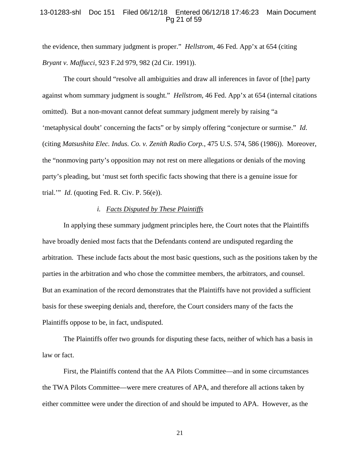## 13-01283-shl Doc 151 Filed 06/12/18 Entered 06/12/18 17:46:23 Main Document Pg 21 of 59

the evidence, then summary judgment is proper." *Hellstrom*, 46 Fed. App'x at 654 (citing *Bryant v. Maffucci*, 923 F.2d 979, 982 (2d Cir. 1991)).

The court should "resolve all ambiguities and draw all inferences in favor of [the] party against whom summary judgment is sought." *Hellstrom*, 46 Fed. App'x at 654 (internal citations omitted). But a non-movant cannot defeat summary judgment merely by raising "a 'metaphysical doubt' concerning the facts" or by simply offering "conjecture or surmise." *Id*. (citing *Matsushita Elec. Indus. Co. v. Zenith Radio Corp.*, 475 U.S. 574, 586 (1986)). Moreover, the "nonmoving party's opposition may not rest on mere allegations or denials of the moving party's pleading, but 'must set forth specific facts showing that there is a genuine issue for trial.'" *Id*. (quoting Fed. R. Civ. P. 56(e)).

### *i. Facts Disputed by These Plaintiffs*

In applying these summary judgment principles here, the Court notes that the Plaintiffs have broadly denied most facts that the Defendants contend are undisputed regarding the arbitration. These include facts about the most basic questions, such as the positions taken by the parties in the arbitration and who chose the committee members, the arbitrators, and counsel. But an examination of the record demonstrates that the Plaintiffs have not provided a sufficient basis for these sweeping denials and, therefore, the Court considers many of the facts the Plaintiffs oppose to be, in fact, undisputed.

The Plaintiffs offer two grounds for disputing these facts, neither of which has a basis in law or fact.

First, the Plaintiffs contend that the AA Pilots Committee—and in some circumstances the TWA Pilots Committee—were mere creatures of APA, and therefore all actions taken by either committee were under the direction of and should be imputed to APA.However, as the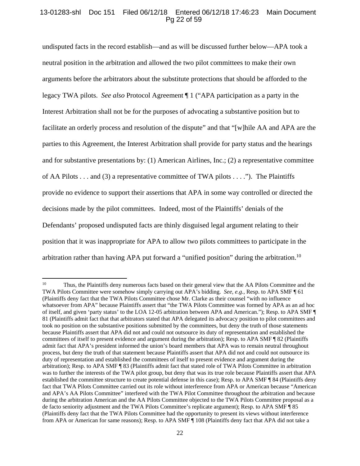# 13-01283-shl Doc 151 Filed 06/12/18 Entered 06/12/18 17:46:23 Main Document Pg 22 of 59

undisputed facts in the record establish—and as will be discussed further below—APA took a neutral position in the arbitration and allowed the two pilot committees to make their own arguments before the arbitrators about the substitute protections that should be afforded to the legacy TWA pilots. *See also* Protocol Agreement ¶ 1 ("APA participation as a party in the Interest Arbitration shall not be for the purposes of advocating a substantive position but to facilitate an orderly process and resolution of the dispute" and that "[w]hile AA and APA are the parties to this Agreement, the Interest Arbitration shall provide for party status and the hearings and for substantive presentations by: (1) American Airlines, Inc.; (2) a representative committee of AA Pilots . . . and (3) a representative committee of TWA pilots . . . ."). The Plaintiffs provide no evidence to support their assertions that APA in some way controlled or directed the decisions made by the pilot committees. Indeed, most of the Plaintiffs' denials of the Defendants' proposed undisputed facts are thinly disguised legal argument relating to their position that it was inappropriate for APA to allow two pilots committees to participate in the arbitration rather than having APA put forward a "unified position" during the arbitration.10

<sup>&</sup>lt;sup>10</sup> Thus, the Plaintiffs deny numerous facts based on their general view that the AA Pilots Committee and the TWA Pilots Committee were somehow simply carrying out APA's bidding. *See, e.g.,* Resp. to APA SMF ¶ 61 (Plaintiffs deny fact that the TWA Pilots Committee chose Mr. Clarke as their counsel "with no influence whatsoever from APA" because Plaintiffs assert that "the TWA Pilots Committee was formed by APA as an ad hoc of itself, and given 'party status' to the LOA 12-05 arbitration between APA and American."); Resp. to APA SMF ¶ 81 (Plaintiffs admit fact that that arbitrators stated that APA delegated its advocacy position to pilot committees and took no position on the substantive positions submitted by the committees, but deny the truth of those statements because Plaintiffs assert that APA did not and could not outsource its duty of representation and established the committees of itself to present evidence and argument during the arbitration); Resp. to APA SMF ¶ 82 (Plaintiffs admit fact that APA's president informed the union's board members that APA was to remain neutral throughout process, but deny the truth of that statement because Plaintiffs assert that APA did not and could not outsource its duty of representation and established the committees of itself to present evidence and argument during the arbitration); Resp. to APA SMF ¶ 83 (Plaintiffs admit fact that stated role of TWA Pilots Committee in arbitration was to further the interests of the TWA pilot group, but deny that was its true role because Plaintiffs assert that APA established the committee structure to create potential defense in this case); Resp. to APA SMF ¶ 84 (Plaintiffs deny fact that TWA Pilots Committee carried out its role without interference from APA or American because "American and APA's AA Pilots Committee" interfered with the TWA Pilot Committee throughout the arbitration and because during the arbitration American and the AA Pilots Committee objected to the TWA Pilots Committee proposal as a de facto seniority adjustment and the TWA Pilots Committee's replicate argument); Resp. to APA SMF ¶ 85 (Plaintiffs deny fact that the TWA Pilots Committee had the opportunity to present its views without interference from APA or American for same reasons); Resp. to APA SMF ¶ 108 (Plaintiffs deny fact that APA did not take a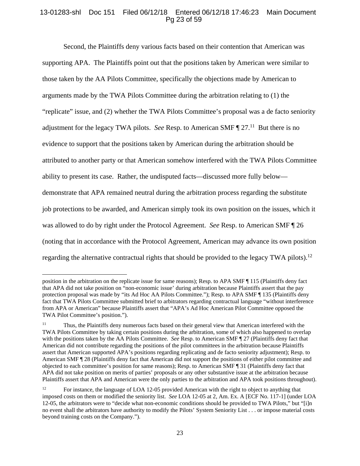# 13-01283-shl Doc 151 Filed 06/12/18 Entered 06/12/18 17:46:23 Main Document Pg 23 of 59

Second, the Plaintiffs deny various facts based on their contention that American was supporting APA. The Plaintiffs point out that the positions taken by American were similar to those taken by the AA Pilots Committee, specifically the objections made by American to arguments made by the TWA Pilots Committee during the arbitration relating to (1) the "replicate" issue, and (2) whether the TWA Pilots Committee's proposal was a de facto seniority adjustment for the legacy TWA pilots. *See* Resp. to American SMF  $\P$  27.<sup>11</sup> But there is no evidence to support that the positions taken by American during the arbitration should be attributed to another party or that American somehow interfered with the TWA Pilots Committee ability to present its case. Rather, the undisputed facts—discussed more fully below demonstrate that APA remained neutral during the arbitration process regarding the substitute job protections to be awarded, and American simply took its own position on the issues, which it was allowed to do by right under the Protocol Agreement. *See* Resp. to American SMF ¶ 26 (noting that in accordance with the Protocol Agreement, American may advance its own position regarding the alternative contractual rights that should be provided to the legacy TWA pilots).<sup>12</sup>

position in the arbitration on the replicate issue for same reasons); Resp. to APA SMF ¶ 115 (Plaintiffs deny fact that APA did not take position on "non-economic issue' during arbitration because Plaintiffs assert that the pay protection proposal was made by "its Ad Hoc AA Pilots Committee."); Resp. to APA SMF ¶ 135 (Plaintiffs deny fact that TWA Pilots Committee submitted brief to arbitrators regarding contractual language "without interference from APA or American" because Plaintiffs assert that "APA's Ad Hoc American Pilot Committee opposed the TWA Pilot Committee's position.").

<sup>&</sup>lt;sup>11</sup> Thus, the Plaintiffs deny numerous facts based on their general view that American interfered with the TWA Pilots Committee by taking certain positions during the arbitration, some of which also happened to overlap with the positions taken by the AA Pilots Committee. *See* Resp. to American SMF ¶ 27 (Plaintiffs deny fact that American did not contribute regarding the positions of the pilot committees in the arbitration because Plaintiffs assert that American supported APA's positions regarding replicating and de facto seniority adjustment); Resp. to American SMF ¶ 28 (Plaintiffs deny fact that American did not support the positions of either pilot committee and objected to each committee's position for same reasons); Resp. to American SMF ¶ 31 (Plaintiffs deny fact that APA did not take position on merits of parties' proposals or any other substantive issue at the arbitration because Plaintiffs assert that APA and American were the only parties to the arbitration and APA took positions throughout).

<sup>&</sup>lt;sup>12</sup> For instance, the language of LOA 12-05 provided American with the right to object to anything that imposed costs on them or modified the seniority list. *See* LOA 12-05 at 2, Am. Ex. A [ECF No. 117-1] (under LOA 12-05, the arbitrators were to "decide what non-economic conditions should be provided to TWA Pilots," but "[i]n no event shall the arbitrators have authority to modify the Pilots' System Seniority List . . . or impose material costs beyond training costs on the Company.").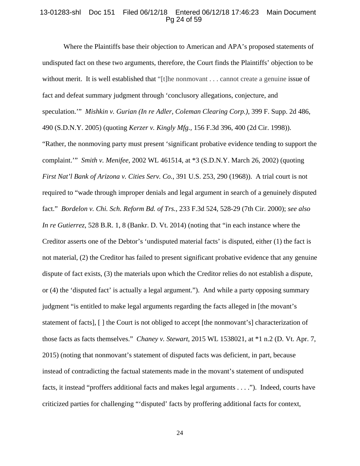## 13-01283-shl Doc 151 Filed 06/12/18 Entered 06/12/18 17:46:23 Main Document Pg 24 of 59

Where the Plaintiffs base their objection to American and APA's proposed statements of undisputed fact on these two arguments, therefore, the Court finds the Plaintiffs' objection to be without merit. It is well established that "[t]he nonmovant . . . cannot create a genuine issue of fact and defeat summary judgment through 'conclusory allegations, conjecture, and speculation.'" *Mishkin v. Gurian (In re Adler, Coleman Clearing Corp.)*, 399 F. Supp. 2d 486, 490 (S.D.N.Y. 2005) (quoting *Kerzer v. Kingly Mfg.,* 156 F.3d 396, 400 (2d Cir. 1998)). "Rather, the nonmoving party must present 'significant probative evidence tending to support the complaint.'" *Smith v. Menifee*, 2002 WL 461514, at \*3 (S.D.N.Y. March 26, 2002) (quoting *First Nat'l Bank of Arizona v. Cities Serv. Co.*, 391 U.S. 253, 290 (1968)). A trial court is not required to "wade through improper denials and legal argument in search of a genuinely disputed fact." *Bordelon v. Chi. Sch. Reform Bd. of Trs.,* 233 F.3d 524, 528-29 (7th Cir. 2000); *see also In re Gutierrez*, 528 B.R. 1, 8 (Bankr. D. Vt. 2014) (noting that "in each instance where the Creditor asserts one of the Debtor's 'undisputed material facts' is disputed, either (1) the fact is not material, (2) the Creditor has failed to present significant probative evidence that any genuine dispute of fact exists, (3) the materials upon which the Creditor relies do not establish a dispute, or (4) the 'disputed fact' is actually a legal argument."). And while a party opposing summary judgment "is entitled to make legal arguments regarding the facts alleged in [the movant's statement of facts], [ ] the Court is not obliged to accept [the nonmovant's] characterization of those facts as facts themselves." *Chaney v. Stewart*, 2015 WL 1538021, at \*1 n.2 (D. Vt. Apr. 7, 2015) (noting that nonmovant's statement of disputed facts was deficient, in part, because instead of contradicting the factual statements made in the movant's statement of undisputed facts, it instead "proffers additional facts and makes legal arguments . . . ."). Indeed, courts have criticized parties for challenging "'disputed' facts by proffering additional facts for context,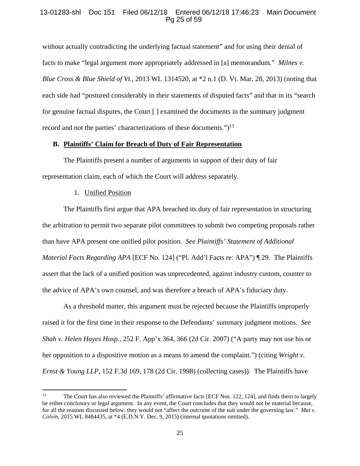# 13-01283-shl Doc 151 Filed 06/12/18 Entered 06/12/18 17:46:23 Main Document Pg 25 of 59

without actually contradicting the underlying factual statement" and for using their denial of facts to make "legal argument more appropriately addressed in [a] memorandum." *Milnes v. Blue Cross & Blue Shield of Vt.*, 2013 WL 1314520, at \*2 n.1 (D. Vt. Mar. 28, 2013) (noting that each side had "postured considerably in their statements of disputed facts" and that in its "search for genuine factual disputes, the Court [ ] examined the documents in the summary judgment record and not the parties' characterizations of these documents.") $<sup>13</sup>$ </sup>

#### **B. Plaintiffs' Claim for Breach of Duty of Fair Representation**

The Plaintiffs present a number of arguments in support of their duty of fair representation claim, each of which the Court will address separately.

### 1. Unified Position

The Plaintiffs first argue that APA breached its duty of fair representation in structuring the arbitration to permit two separate pilot committees to submit two competing proposals rather than have APA present one unified pilot position.*See Plaintiffs' Statement of Additional Material Facts Regarding APA* [ECF No. 124] ("Pl. Add'l Facts re: APA") ¶ 29. The Plaintiffs assert that the lack of a unified position was unprecedented, against industry custom, counter to the advice of APA's own counsel, and was therefore a breach of APA's fiduciary duty.

As a threshold matter, this argument must be rejected because the Plaintiffs improperly raised it for the first time in their response to the Defendants' summary judgment motions. *See Shah v. Helen Hayes Hosp.*, 252 F. App'x 364, 366 (2d Cir. 2007) ("A party may not use his or her opposition to a dispositive motion as a means to amend the complaint.") (citing *Wright v. Ernst & Young LLP*, 152 F.3d 169, 178 (2d Cir. 1998) (collecting cases)). The Plaintiffs have

<sup>&</sup>lt;sup>13</sup> The Court has also reviewed the Plaintiffs' affirmative facts [ECF Nos. 122, 124], and finds them to largely be either conclusory or legal argument. In any event, the Court concludes that they would not be material because, for all the reasons discussed below, they would not "affect the outcome of the suit under the governing law." *Mai v. Colvin*, 2015 WL 8484435, at \*4 (E.D.N.Y. Dec. 9, 2015) (internal quotations omitted).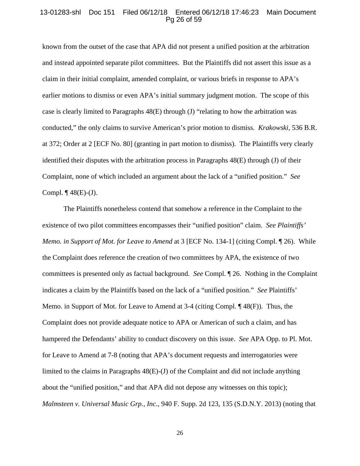#### 13-01283-shl Doc 151 Filed 06/12/18 Entered 06/12/18 17:46:23 Main Document Pg 26 of 59

known from the outset of the case that APA did not present a unified position at the arbitration and instead appointed separate pilot committees. But the Plaintiffs did not assert this issue as a claim in their initial complaint, amended complaint, or various briefs in response to APA's earlier motions to dismiss or even APA's initial summary judgment motion. The scope of this case is clearly limited to Paragraphs  $48(E)$  through (J) "relating to how the arbitration was conducted," the only claims to survive American's prior motion to dismiss. *Krakowski,* 536 B.R. at 372; Order at 2 [ECF No. 80] (granting in part motion to dismiss). The Plaintiffs very clearly identified their disputes with the arbitration process in Paragraphs 48(E) through (J) of their Complaint, none of which included an argument about the lack of a "unified position." *See* Compl.  $\P$  48(E)-(J).

The Plaintiffs nonetheless contend that somehow a reference in the Complaint to the existence of two pilot committees encompasses their "unified position" claim. *See Plaintiffs' Memo. in Support of Mot. for Leave to Amend* at 3 [ECF No. 134-1] (citing Compl. ¶ 26). While the Complaint does reference the creation of two committees by APA, the existence of two committees is presented only as factual background. *See* Compl. ¶ 26. Nothing in the Complaint indicates a claim by the Plaintiffs based on the lack of a "unified position." *See* Plaintiffs' Memo. in Support of Mot. for Leave to Amend at 3-4 (citing Compl. ¶ 48(F)). Thus, the Complaint does not provide adequate notice to APA or American of such a claim, and has hampered the Defendants' ability to conduct discovery on this issue. *See* APA Opp. to Pl. Mot. for Leave to Amend at 7-8 (noting that APA's document requests and interrogatories were limited to the claims in Paragraphs 48(E)-(J) of the Complaint and did not include anything about the "unified position," and that APA did not depose any witnesses on this topic); *Malmsteen v. Universal Music Grp., Inc.*, 940 F. Supp. 2d 123, 135 (S.D.N.Y. 2013) (noting that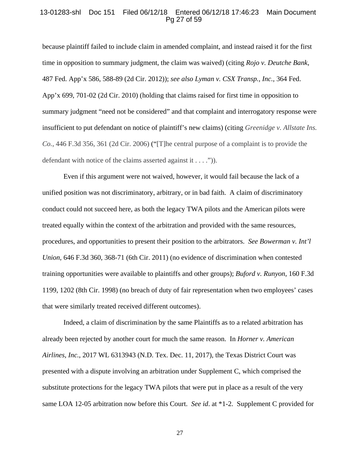## 13-01283-shl Doc 151 Filed 06/12/18 Entered 06/12/18 17:46:23 Main Document Pg 27 of 59

because plaintiff failed to include claim in amended complaint, and instead raised it for the first time in opposition to summary judgment, the claim was waived) (citing *Rojo v. Deutche Bank*, 487 Fed. App'x 586, 588-89 (2d Cir. 2012)); *see also Lyman v. CSX Transp., Inc.*, 364 Fed. App'x 699, 701-02 (2d Cir. 2010) (holding that claims raised for first time in opposition to summary judgment "need not be considered" and that complaint and interrogatory response were insufficient to put defendant on notice of plaintiff's new claims) (citing *Greenidge v. Allstate Ins. Co.*, 446 F.3d 356, 361 (2d Cir. 2006) ("[T]he central purpose of a complaint is to provide the defendant with notice of the claims asserted against it . . . .")).

Even if this argument were not waived, however, it would fail because the lack of a unified position was not discriminatory, arbitrary, or in bad faith. A claim of discriminatory conduct could not succeed here, as both the legacy TWA pilots and the American pilots were treated equally within the context of the arbitration and provided with the same resources, procedures, and opportunities to present their position to the arbitrators. *See Bowerman v. Int'l Union*, 646 F.3d 360, 368-71 (6th Cir. 2011) (no evidence of discrimination when contested training opportunities were available to plaintiffs and other groups); *Buford v. Runyon*, 160 F.3d 1199, 1202 (8th Cir. 1998) (no breach of duty of fair representation when two employees' cases that were similarly treated received different outcomes).

Indeed, a claim of discrimination by the same Plaintiffs as to a related arbitration has already been rejected by another court for much the same reason. In *Horner v. American Airlines, Inc.*, 2017 WL 6313943 (N.D. Tex. Dec. 11, 2017), the Texas District Court was presented with a dispute involving an arbitration under Supplement C, which comprised the substitute protections for the legacy TWA pilots that were put in place as a result of the very same LOA 12-05 arbitration now before this Court. *See id*. at \*1-2. Supplement C provided for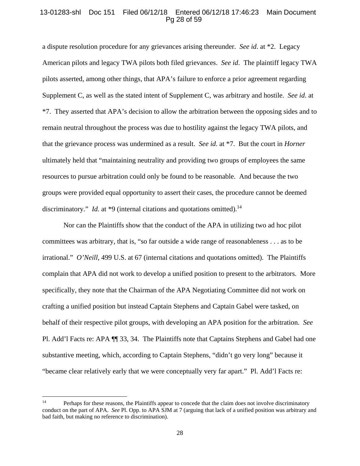## 13-01283-shl Doc 151 Filed 06/12/18 Entered 06/12/18 17:46:23 Main Document Pg 28 of 59

a dispute resolution procedure for any grievances arising thereunder. *See id*. at \*2. Legacy American pilots and legacy TWA pilots both filed grievances. *See id*. The plaintiff legacy TWA pilots asserted, among other things, that APA's failure to enforce a prior agreement regarding Supplement C, as well as the stated intent of Supplement C, was arbitrary and hostile. *See id*. at \*7. They asserted that APA's decision to allow the arbitration between the opposing sides and to remain neutral throughout the process was due to hostility against the legacy TWA pilots, and that the grievance process was undermined as a result. *See id*. at \*7. But the court in *Horner* ultimately held that "maintaining neutrality and providing two groups of employees the same resources to pursue arbitration could only be found to be reasonable. And because the two groups were provided equal opportunity to assert their cases, the procedure cannot be deemed discriminatory." *Id.* at \*9 (internal citations and quotations omitted).<sup>14</sup>

Nor can the Plaintiffs show that the conduct of the APA in utilizing two ad hoc pilot committees was arbitrary, that is, "so far outside a wide range of reasonableness . . . as to be irrational." *O'Neill*, 499 U.S. at 67 (internal citations and quotations omitted). The Plaintiffs complain that APA did not work to develop a unified position to present to the arbitrators. More specifically, they note that the Chairman of the APA Negotiating Committee did not work on crafting a unified position but instead Captain Stephens and Captain Gabel were tasked, on behalf of their respective pilot groups, with developing an APA position for the arbitration. *See*  Pl. Add'l Facts re: APA ¶¶ 33, 34. The Plaintiffs note that Captains Stephens and Gabel had one substantive meeting, which, according to Captain Stephens, "didn't go very long" because it "became clear relatively early that we were conceptually very far apart." Pl. Add'l Facts re:

<sup>&</sup>lt;sup>14</sup> Perhaps for these reasons, the Plaintiffs appear to concede that the claim does not involve discriminatory conduct on the part of APA. *See* Pl. Opp. to APA SJM at 7 (arguing that lack of a unified position was arbitrary and bad faith, but making no reference to discrimination).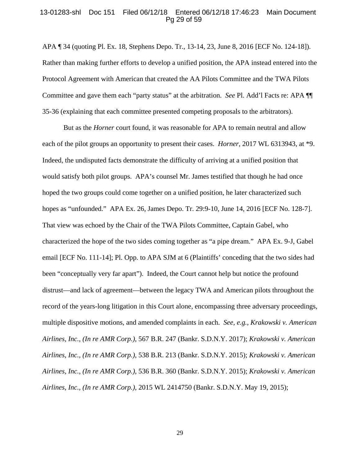### 13-01283-shl Doc 151 Filed 06/12/18 Entered 06/12/18 17:46:23 Main Document Pg 29 of 59

APA ¶ 34 (quoting Pl. Ex. 18, Stephens Depo. Tr., 13-14, 23, June 8, 2016 [ECF No. 124-18]). Rather than making further efforts to develop a unified position, the APA instead entered into the Protocol Agreement with American that created the AA Pilots Committee and the TWA Pilots Committee and gave them each "party status" at the arbitration. *See* Pl. Add'l Facts re: APA ¶¶ 35-36 (explaining that each committee presented competing proposals to the arbitrators).

But as the *Horner* court found, it was reasonable for APA to remain neutral and allow each of the pilot groups an opportunity to present their cases. *Horner*, 2017 WL 6313943, at \*9. Indeed, the undisputed facts demonstrate the difficulty of arriving at a unified position that would satisfy both pilot groups. APA's counsel Mr. James testified that though he had once hoped the two groups could come together on a unified position, he later characterized such hopes as "unfounded." APA Ex. 26, James Depo. Tr. 29:9-10, June 14, 2016 [ECF No. 128-7]. That view was echoed by the Chair of the TWA Pilots Committee, Captain Gabel, who characterized the hope of the two sides coming together as "a pipe dream." APA Ex. 9-J, Gabel email [ECF No. 111-14]; Pl. Opp. to APA SJM at 6 (Plaintiffs' conceding that the two sides had been "conceptually very far apart"). Indeed, the Court cannot help but notice the profound distrust—and lack of agreement—between the legacy TWA and American pilots throughout the record of the years-long litigation in this Court alone, encompassing three adversary proceedings, multiple dispositive motions, and amended complaints in each. *See, e.g., Krakowski v. American Airlines, Inc., (In re AMR Corp.),* 567 B.R. 247 (Bankr. S.D.N.Y. 2017); *Krakowski v. American Airlines, Inc., (In re AMR Corp.),* 538 B.R. 213 (Bankr. S.D.N.Y. 2015); *Krakowski v. American Airlines, Inc., (In re AMR Corp.),* 536 B.R. 360 (Bankr. S.D.N.Y. 2015); *Krakowski v. American Airlines, Inc., (In re AMR Corp.),* 2015 WL 2414750 (Bankr. S.D.N.Y. May 19, 2015);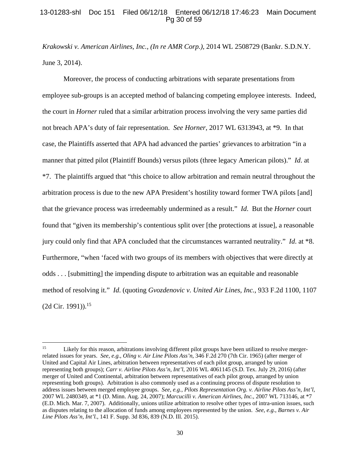## 13-01283-shl Doc 151 Filed 06/12/18 Entered 06/12/18 17:46:23 Main Document Pg 30 of 59

*Krakowski v. American Airlines, Inc., (In re AMR Corp.),* 2014 WL 2508729 (Bankr. S.D.N.Y. June 3, 2014).

Moreover, the process of conducting arbitrations with separate presentations from employee sub-groups is an accepted method of balancing competing employee interests. Indeed, the court in *Horner* ruled that a similar arbitration process involving the very same parties did not breach APA's duty of fair representation. *See Horner*, 2017 WL 6313943, at \*9. In that case, the Plaintiffs asserted that APA had advanced the parties' grievances to arbitration "in a manner that pitted pilot (Plaintiff Bounds) versus pilots (three legacy American pilots)." *Id*. at \*7. The plaintiffs argued that "this choice to allow arbitration and remain neutral throughout the arbitration process is due to the new APA President's hostility toward former TWA pilots [and] that the grievance process was irredeemably undermined as a result." *Id*. But the *Horner* court found that "given its membership's contentious split over [the protections at issue], a reasonable jury could only find that APA concluded that the circumstances warranted neutrality." *Id*. at \*8. Furthermore, "when 'faced with two groups of its members with objectives that were directly at odds . . . [submitting] the impending dispute to arbitration was an equitable and reasonable method of resolving it." *Id*. (quoting *Gvozdenovic v. United Air Lines, Inc.*, 933 F.2d 1100, 1107  $(2d$  Cir. 1991)).<sup>15</sup>

<sup>&</sup>lt;sup>15</sup> Likely for this reason, arbitrations involving different pilot groups have been utilized to resolve mergerrelated issues for years. *See*, *e.g.*, *Oling v. Air Line Pilots Ass'n*, 346 F.2d 270 (7th Cir. 1965) (after merger of United and Capital Air Lines, arbitration between representatives of each pilot group, arranged by union representing both groups); *Carr v. Airline Pilots Ass'n, Int'l*, 2016 WL 4061145 (S.D. Tex. July 29, 2016) (after merger of United and Continental, arbitration between representatives of each pilot group, arranged by union representing both groups). Arbitration is also commonly used as a continuing process of dispute resolution to address issues between merged employee groups. *See*, *e.g.*, *Pilots Representation Org. v. Airline Pilots Ass'n, Int'l*, 2007 WL 2480349, at \*1 (D. Minn. Aug. 24, 2007); *Marcucilli v. American Airlines, Inc.*, 2007 WL 713146, at \*7 (E.D. Mich. Mar. 7, 2007). Additionally, unions utilize arbitration to resolve other types of intra-union issues, such as disputes relating to the allocation of funds among employees represented by the union. *See*, *e.g.*, *Barnes v. Air Line Pilots Ass'n, Int'l.*, 141 F. Supp. 3d 836, 839 (N.D. Ill. 2015).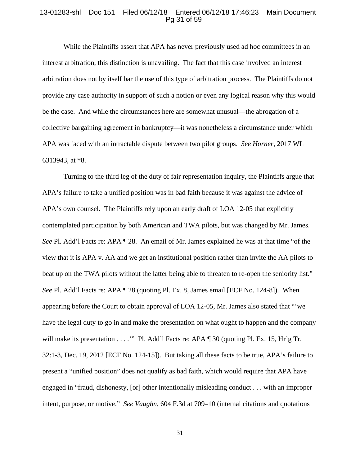## 13-01283-shl Doc 151 Filed 06/12/18 Entered 06/12/18 17:46:23 Main Document Pg 31 of 59

While the Plaintiffs assert that APA has never previously used ad hoc committees in an interest arbitration, this distinction is unavailing. The fact that this case involved an interest arbitration does not by itself bar the use of this type of arbitration process. The Plaintiffs do not provide any case authority in support of such a notion or even any logical reason why this would be the case. And while the circumstances here are somewhat unusual—the abrogation of a collective bargaining agreement in bankruptcy—it was nonetheless a circumstance under which APA was faced with an intractable dispute between two pilot groups. *See Horner*, 2017 WL 6313943, at \*8.

Turning to the third leg of the duty of fair representation inquiry, the Plaintiffs argue that APA's failure to take a unified position was in bad faith because it was against the advice of APA's own counsel. The Plaintiffs rely upon an early draft of LOA 12-05 that explicitly contemplated participation by both American and TWA pilots, but was changed by Mr. James. *See* Pl. Add'l Facts re: APA ¶ 28. An email of Mr. James explained he was at that time "of the view that it is APA v. AA and we get an institutional position rather than invite the AA pilots to beat up on the TWA pilots without the latter being able to threaten to re-open the seniority list." *See* Pl. Add'l Facts re: APA ¶ 28 (quoting Pl. Ex. 8, James email [ECF No. 124-8]).When appearing before the Court to obtain approval of LOA 12-05, Mr. James also stated that "'we have the legal duty to go in and make the presentation on what ought to happen and the company will make its presentation . . . . "" Pl. Add'l Facts re: APA ¶ 30 (quoting Pl. Ex. 15, Hr'g Tr. 32:1-3, Dec. 19, 2012 [ECF No. 124-15]). But taking all these facts to be true, APA's failure to present a "unified position" does not qualify as bad faith, which would require that APA have engaged in "fraud, dishonesty, [or] other intentionally misleading conduct . . . with an improper intent, purpose, or motive." *See Vaughn,* 604 F.3d at 709–10 (internal citations and quotations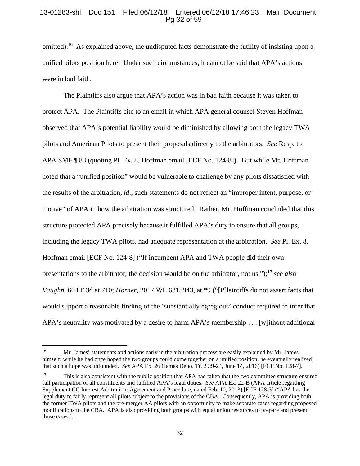# 13-01283-shl Doc 151 Filed 06/12/18 Entered 06/12/18 17:46:23 Main Document Pg 32 of 59

omitted).<sup>16</sup> As explained above, the undisputed facts demonstrate the futility of insisting upon a unified pilots position here. Under such circumstances, it cannot be said that APA's actions were in bad faith.

The Plaintiffs also argue that APA's action was in bad faith because it was taken to protect APA. The Plaintiffs cite to an email in which APA general counsel Steven Hoffman observed that APA's potential liability would be diminished by allowing both the legacy TWA pilots and American Pilots to present their proposals directly to the arbitrators. *See* Resp. to APA SMF ¶ 83 (quoting Pl. Ex. 8, Hoffman email [ECF No. 124-8]).But while Mr. Hoffman noted that a "unified position" would be vulnerable to challenge by any pilots dissatisfied with the results of the arbitration, *id*., such statements do not reflect an "improper intent, purpose, or motive" of APA in how the arbitration was structured. Rather, Mr. Hoffman concluded that this structure protected APA precisely because it fulfilled APA's duty to ensure that all groups, including the legacy TWA pilots, had adequate representation at the arbitration. *See* Pl. Ex. 8, Hoffman email [ECF No. 124-8] ("If incumbent APA and TWA people did their own presentations to the arbitrator, the decision would be on the arbitrator, not us.");17 *see also Vaughn,* 604 F.3d at 710; *Horner*, 2017 WL 6313943, at \*9 ("[P]laintiffs do not assert facts that would support a reasonable finding of the 'substantially egregious' conduct required to infer that APA's neutrality was motivated by a desire to harm APA's membership . . . [w]ithout additional

<sup>&</sup>lt;sup>16</sup> Mr. James' statements and actions early in the arbitration process are easily explained by Mr. James himself: while he had once hoped the two groups could come together on a unified position, he eventually realized that such a hope was unfounded. *See* APA Ex. 26 (James Depo. Tr. 29:9-24, June 14, 2016) [ECF No. 128-7].

<sup>&</sup>lt;sup>17</sup> This is also consistent with the public position that APA had taken that the two committee structure ensured full participation of all constituents and fulfilled APA's legal duties. *See* APA Ex. 22-B (APA article regarding Supplement CC Interest Arbitration: Agreement and Procedure, dated Feb. 10, 2013) [ECF 128-3] ("APA has the legal duty to fairly represent all pilots subject to the provisions of the CBA. Consequently, APA is providing both the former TWA pilots and the pre-merger AA pilots with an opportunity to make separate cases regarding proposed modifications to the CBA. APA is also providing both groups with equal union resources to prepare and present those cases.").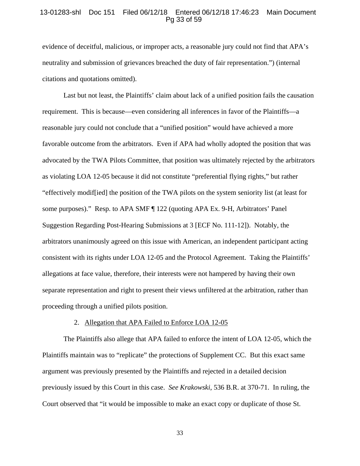## 13-01283-shl Doc 151 Filed 06/12/18 Entered 06/12/18 17:46:23 Main Document Pg 33 of 59

evidence of deceitful, malicious, or improper acts, a reasonable jury could not find that APA's neutrality and submission of grievances breached the duty of fair representation.") (internal citations and quotations omitted).

Last but not least, the Plaintiffs' claim about lack of a unified position fails the causation requirement. This is because—even considering all inferences in favor of the Plaintiffs—a reasonable jury could not conclude that a "unified position" would have achieved a more favorable outcome from the arbitrators. Even if APA had wholly adopted the position that was advocated by the TWA Pilots Committee, that position was ultimately rejected by the arbitrators as violating LOA 12-05 because it did not constitute "preferential flying rights," but rather "effectively modif[ied] the position of the TWA pilots on the system seniority list (at least for some purposes)." Resp. to APA SMF ¶ 122 (quoting APA Ex. 9-H, Arbitrators' Panel Suggestion Regarding Post-Hearing Submissions at 3 [ECF No. 111-12]). Notably, the arbitrators unanimously agreed on this issue with American, an independent participant acting consistent with its rights under LOA 12-05 and the Protocol Agreement. Taking the Plaintiffs' allegations at face value, therefore, their interests were not hampered by having their own separate representation and right to present their views unfiltered at the arbitration, rather than proceeding through a unified pilots position.

#### 2. Allegation that APA Failed to Enforce LOA 12-05

The Plaintiffs also allege that APA failed to enforce the intent of LOA 12-05, which the Plaintiffs maintain was to "replicate" the protections of Supplement CC. But this exact same argument was previously presented by the Plaintiffs and rejected in a detailed decision previously issued by this Court in this case. *See Krakowski*, 536 B.R. at 370-71. In ruling, the Court observed that "it would be impossible to make an exact copy or duplicate of those St.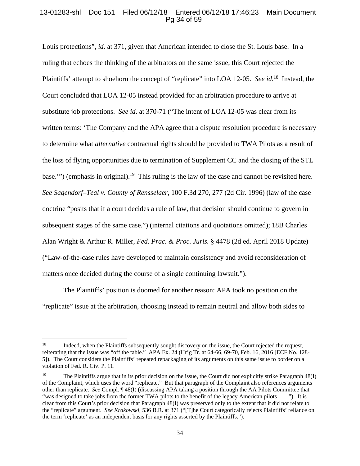# 13-01283-shl Doc 151 Filed 06/12/18 Entered 06/12/18 17:46:23 Main Document Pg 34 of 59

Louis protections", *id*. at 371, given that American intended to close the St. Louis base. In a ruling that echoes the thinking of the arbitrators on the same issue, this Court rejected the Plaintiffs' attempt to shoehorn the concept of "replicate" into LOA 12-05. *See id.*18 Instead, the Court concluded that LOA 12-05 instead provided for an arbitration procedure to arrive at substitute job protections. *See id*. at 370-71 ("The intent of LOA 12-05 was clear from its written terms: 'The Company and the APA agree that a dispute resolution procedure is necessary to determine what *alternative* contractual rights should be provided to TWA Pilots as a result of the loss of flying opportunities due to termination of Supplement CC and the closing of the STL base."") (emphasis in original).<sup>19</sup> This ruling is the law of the case and cannot be revisited here. *See Sagendorf–Teal v. County of Rensselaer*, 100 F.3d 270, 277 (2d Cir. 1996) (law of the case doctrine "posits that if a court decides a rule of law, that decision should continue to govern in subsequent stages of the same case.") (internal citations and quotations omitted); 18B Charles Alan Wright & Arthur R. Miller, *Fed. Prac. & Proc. Juris.* § 4478 (2d ed. April 2018 Update) ("Law-of-the-case rules have developed to maintain consistency and avoid reconsideration of matters once decided during the course of a single continuing lawsuit.").

The Plaintiffs' position is doomed for another reason: APA took no position on the "replicate" issue at the arbitration, choosing instead to remain neutral and allow both sides to

<sup>&</sup>lt;sup>18</sup> Indeed, when the Plaintiffs subsequently sought discovery on the issue, the Court rejected the request, reiterating that the issue was "off the table." APA Ex. 24 (Hr'g Tr. at 64-66, 69-70, Feb. 16, 2016 [ECF No. 128- 5]). The Court considers the Plaintiffs' repeated repackaging of its arguments on this same issue to border on a violation of Fed. R. Civ. P. 11.

<sup>&</sup>lt;sup>19</sup> The Plaintiffs argue that in its prior decision on the issue, the Court did not explicitly strike Paragraph 48(I) of the Complaint, which uses the word "replicate." But that paragraph of the Complaint also references arguments other than replicate. *See* Compl. ¶ 48(I) (discussing APA taking a position through the AA Pilots Committee that "was designed to take jobs from the former TWA pilots to the benefit of the legacy American pilots . . . ."). It is clear from this Court's prior decision that Paragraph 48(I) was preserved only to the extent that it did not relate to the "replicate" argument. *See Krakowski*, 536 B.R. at 371 ("[T]he Court categorically rejects Plaintiffs' reliance on the term 'replicate' as an independent basis for any rights asserted by the Plaintiffs.").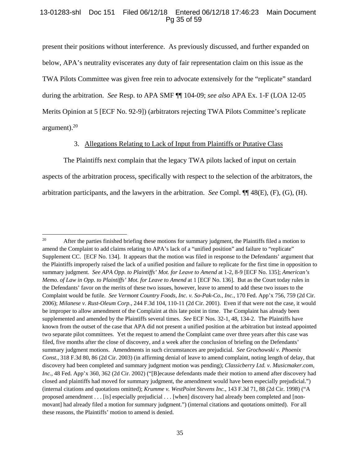# 13-01283-shl Doc 151 Filed 06/12/18 Entered 06/12/18 17:46:23 Main Document Pg 35 of 59

present their positions without interference. As previously discussed, and further expanded on below, APA's neutrality eviscerates any duty of fair representation claim on this issue as the TWA Pilots Committee was given free rein to advocate extensively for the "replicate" standard during the arbitration. *See* Resp. to APA SMF ¶¶ 104-09; *see also* APA Ex. 1-F (LOA 12-05 Merits Opinion at 5 [ECF No. 92-9]) (arbitrators rejecting TWA Pilots Committee's replicate argument).20

# 3. Allegations Relating to Lack of Input from Plaintiffs or Putative Class

The Plaintiffs next complain that the legacy TWA pilots lacked of input on certain aspects of the arbitration process, specifically with respect to the selection of the arbitrators, the arbitration participants, and the lawyers in the arbitration. *See* Compl. ¶¶ 48(E), (F), (G), (H).

 <sup>20</sup> After the parties finished briefing these motions for summary judgment, the Plaintiffs filed a motion to amend the Complaint to add claims relating to APA's lack of a "unified position" and failure to "replicate" Supplement CC. [ECF No. 134]. It appears that the motion was filed in response to the Defendants' argument that the Plaintiffs improperly raised the lack of a unified position and failure to replicate for the first time in opposition to summary judgment. *See APA Opp. to Plaintiffs' Mot. for Leave to Amend* at 1-2, 8-9 [ECF No. 135]; *American's Memo. of Law in Opp. to Plaintiffs' Mot. for Leave to Amend* at 1 [ECF No. 136]. But as the Court today rules in the Defendants' favor on the merits of these two issues, however, leave to amend to add these two issues to the Complaint would be futile. *See Vermont Country Foods, Inc. v. So-Pak-Co., Inc.*, 170 Fed. App'x 756, 759 (2d Cir. 2006); *Milanese v. Rust-Oleum Corp.*, 244 F.3d 104, 110-11 (2d Cir. 2001). Even if that were not the case, it would be improper to allow amendment of the Complaint at this late point in time.The Complaint has already been supplemented and amended by the Plaintiffs several times. *See* ECF Nos. 32-1, 48, 134-2.The Plaintiffs have known from the outset of the case that APA did not present a unified position at the arbitration but instead appointed two separate pilot committees. Yet the request to amend the Complaint came over three years after this case was filed, five months after the close of discovery, and a week after the conclusion of briefing on the Defendants' summary judgment motions. Amendments in such circumstances are prejudicial. *See Grochowski v. Phoenix Const.*, 318 F.3d 80, 86 (2d Cir. 2003) (in affirming denial of leave to amend complaint, noting length of delay, that discovery had been completed and summary judgment motion was pending); *Classicberry Ltd. v. Musicmaker.com, Inc.*, 48 Fed. App'x 360, 362 (2d Cir. 2002) ("[B]ecause defendants made their motion to amend after discovery had closed and plaintiffs had moved for summary judgment, the amendment would have been especially prejudicial.") (internal citations and quotations omitted); *Krumme v. WestPoint Stevens Inc.*, 143 F.3d 71, 88 (2d Cir. 1998) ("A proposed amendment . . . [is] especially prejudicial . . . [when] discovery had already been completed and [nonmovant] had already filed a motion for summary judgment.") (internal citations and quotations omitted). For all these reasons, the Plaintiffs' motion to amend is denied.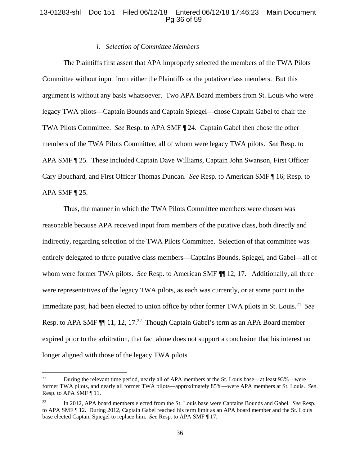# 13-01283-shl Doc 151 Filed 06/12/18 Entered 06/12/18 17:46:23 Main Document Pg 36 of 59

## *i. Selection of Committee Members*

The Plaintiffs first assert that APA improperly selected the members of the TWA Pilots Committee without input from either the Plaintiffs or the putative class members. But this argument is without any basis whatsoever. Two APA Board members from St. Louis who were legacy TWA pilots—Captain Bounds and Captain Spiegel—chose Captain Gabel to chair the TWA Pilots Committee. *See* Resp. to APA SMF ¶ 24. Captain Gabel then chose the other members of the TWA Pilots Committee, all of whom were legacy TWA pilots. *See* Resp. to APA SMF ¶ 25. These included Captain Dave Williams, Captain John Swanson, First Officer Cary Bouchard, and First Officer Thomas Duncan. *See* Resp. to American SMF ¶ 16; Resp. to APA SMF  $\P$  25.

Thus, the manner in which the TWA Pilots Committee members were chosen was reasonable because APA received input from members of the putative class, both directly and indirectly, regarding selection of the TWA Pilots Committee. Selection of that committee was entirely delegated to three putative class members—Captains Bounds, Spiegel, and Gabel—all of whom were former TWA pilots. *See* Resp. to American SMF ¶¶ 12, 17. Additionally, all three were representatives of the legacy TWA pilots, as each was currently, or at some point in the immediate past, had been elected to union office by other former TWA pilots in St. Louis.21 *See* Resp. to APA SMF  $\P$  11, 12, 17.<sup>22</sup> Though Captain Gabel's term as an APA Board member expired prior to the arbitration, that fact alone does not support a conclusion that his interest no longer aligned with those of the legacy TWA pilots.

<sup>&</sup>lt;sup>21</sup> During the relevant time period, nearly all of APA members at the St. Louis base—at least 93%—were former TWA pilots, and nearly all former TWA pilots—approximately 85%—were APA members at St. Louis. *See* Resp. to APA SMF ¶ 11.

<sup>22</sup> In 2012, APA board members elected from the St. Louis base were Captains Bounds and Gabel. *See* Resp. to APA SMF ¶ 12. During 2012, Captain Gabel reached his term limit as an APA board member and the St. Louis base elected Captain Spiegel to replace him. *See* Resp. to APA SMF ¶ 17.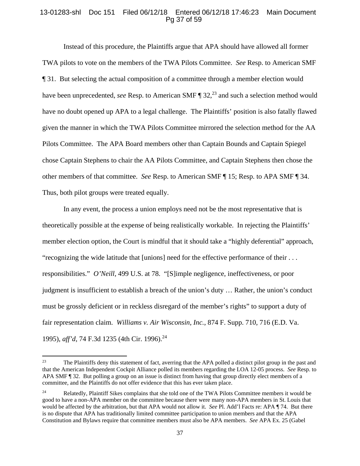## 13-01283-shl Doc 151 Filed 06/12/18 Entered 06/12/18 17:46:23 Main Document Pg 37 of 59

Instead of this procedure, the Plaintiffs argue that APA should have allowed all former TWA pilots to vote on the members of the TWA Pilots Committee. *See* Resp. to American SMF ¶ 31. But selecting the actual composition of a committee through a member election would have been unprecedented, *see* Resp. to American SMF ¶ 32,<sup>23</sup> and such a selection method would have no doubt opened up APA to a legal challenge. The Plaintiffs' position is also fatally flawed given the manner in which the TWA Pilots Committee mirrored the selection method for the AA Pilots Committee. The APA Board members other than Captain Bounds and Captain Spiegel chose Captain Stephens to chair the AA Pilots Committee, and Captain Stephens then chose the other members of that committee. *See* Resp. to American SMF ¶ 15; Resp. to APA SMF ¶ 34. Thus, both pilot groups were treated equally.

In any event, the process a union employs need not be the most representative that is theoretically possible at the expense of being realistically workable. In rejecting the Plaintiffs' member election option, the Court is mindful that it should take a "highly deferential" approach, "recognizing the wide latitude that [unions] need for the effective performance of their . . . responsibilities." *O'Neill*, 499 U.S. at 78. "[S]imple negligence, ineffectiveness, or poor judgment is insufficient to establish a breach of the union's duty … Rather, the union's conduct must be grossly deficient or in reckless disregard of the member's rights" to support a duty of fair representation claim. *Williams v. Air Wisconsin, Inc.*, 874 F. Supp. 710, 716 (E.D. Va. 1995), *aff'd*, 74 F.3d 1235 (4th Cir. 1996).<sup>24</sup>

<sup>&</sup>lt;sup>23</sup> The Plaintiffs deny this statement of fact, averring that the APA polled a distinct pilot group in the past and that the American Independent Cockpit Alliance polled its members regarding the LOA 12-05 process. *See* Resp. to APA SMF ¶ 32. But polling a group on an issue is distinct from having that group directly elect members of a committee, and the Plaintiffs do not offer evidence that this has ever taken place.

<sup>&</sup>lt;sup>24</sup> Relatedly, Plaintiff Sikes complains that she told one of the TWA Pilots Committee members it would be good to have a non-APA member on the committee because there were many non-APA members in St. Louis that would be affected by the arbitration, but that APA would not allow it. *See* Pl. Add'l Facts re: APA ¶ 74. But there is no dispute that APA has traditionally limited committee participation to union members and that the APA Constitution and Bylaws require that committee members must also be APA members. *See* APA Ex. 25 (Gabel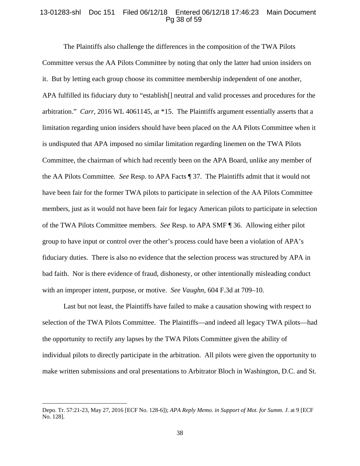#### 13-01283-shl Doc 151 Filed 06/12/18 Entered 06/12/18 17:46:23 Main Document Pg 38 of 59

The Plaintiffs also challenge the differences in the composition of the TWA Pilots Committee versus the AA Pilots Committee by noting that only the latter had union insiders on it. But by letting each group choose its committee membership independent of one another, APA fulfilled its fiduciary duty to "establish[] neutral and valid processes and procedures for the arbitration." *Carr*, 2016 WL 4061145, at \*15. The Plaintiffs argument essentially asserts that a limitation regarding union insiders should have been placed on the AA Pilots Committee when it is undisputed that APA imposed no similar limitation regarding linemen on the TWA Pilots Committee, the chairman of which had recently been on the APA Board, unlike any member of the AA Pilots Committee. *See* Resp. to APA Facts ¶ 37. The Plaintiffs admit that it would not have been fair for the former TWA pilots to participate in selection of the AA Pilots Committee members, just as it would not have been fair for legacy American pilots to participate in selection of the TWA Pilots Committee members. *See* Resp. to APA SMF ¶ 36. Allowing either pilot group to have input or control over the other's process could have been a violation of APA's fiduciary duties. There is also no evidence that the selection process was structured by APA in bad faith. Nor is there evidence of fraud, dishonesty, or other intentionally misleading conduct with an improper intent, purpose, or motive. *See Vaughn,* 604 F.3d at 709–10.

Last but not least, the Plaintiffs have failed to make a causation showing with respect to selection of the TWA Pilots Committee. The Plaintiffs—and indeed all legacy TWA pilots—had the opportunity to rectify any lapses by the TWA Pilots Committee given the ability of individual pilots to directly participate in the arbitration. All pilots were given the opportunity to make written submissions and oral presentations to Arbitrator Bloch in Washington, D.C. and St.

Depo. Tr. 57:21-23, May 27, 2016 [ECF No. 128-6]); *APA Reply Memo. in Support of Mot. for Summ. J.* at 9 [ECF No. 128].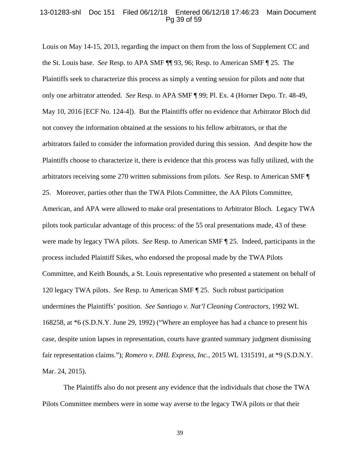## 13-01283-shl Doc 151 Filed 06/12/18 Entered 06/12/18 17:46:23 Main Document Pg 39 of 59

Louis on May 14-15, 2013, regarding the impact on them from the loss of Supplement CC and the St. Louis base. *See* Resp. to APA SMF ¶¶ 93, 96; Resp. to American SMF ¶ 25. The Plaintiffs seek to characterize this process as simply a venting session for pilots and note that only one arbitrator attended. *See* Resp. to APA SMF ¶ 99; Pl. Ex. 4 (Horner Depo. Tr. 48-49, May 10, 2016 [ECF No. 124-4]). But the Plaintiffs offer no evidence that Arbitrator Bloch did not convey the information obtained at the sessions to his fellow arbitrators, or that the arbitrators failed to consider the information provided during this session. And despite how the Plaintiffs choose to characterize it, there is evidence that this process was fully utilized, with the arbitrators receiving some 270 written submissions from pilots. *See* Resp. to American SMF ¶ 25. Moreover, parties other than the TWA Pilots Committee, the AA Pilots Committee, American, and APA were allowed to make oral presentations to Arbitrator Bloch. Legacy TWA pilots took particular advantage of this process: of the 55 oral presentations made, 43 of these were made by legacy TWA pilots. *See* Resp. to American SMF ¶ 25. Indeed, participants in the process included Plaintiff Sikes, who endorsed the proposal made by the TWA Pilots Committee, and Keith Bounds, a St. Louis representative who presented a statement on behalf of 120 legacy TWA pilots. *See* Resp. to American SMF ¶ 25. Such robust participation undermines the Plaintiffs' position. *See Santiago v. Nat'l Cleaning Contractors*, 1992 WL 168258, at \*6 (S.D.N.Y. June 29, 1992) ("Where an employee has had a chance to present his case, despite union lapses in representation, courts have granted summary judgment dismissing fair representation claims."); *Romero v. DHL Express, Inc.*, 2015 WL 1315191, at \*9 (S.D.N.Y. Mar. 24, 2015).

The Plaintiffs also do not present any evidence that the individuals that chose the TWA Pilots Committee members were in some way averse to the legacy TWA pilots or that their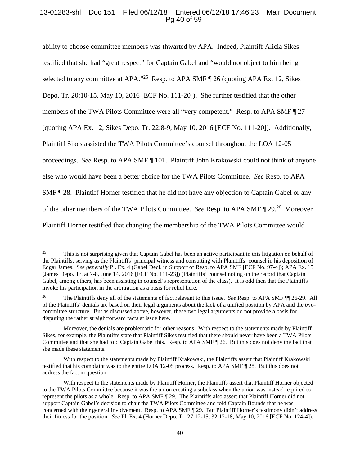# 13-01283-shl Doc 151 Filed 06/12/18 Entered 06/12/18 17:46:23 Main Document Pg 40 of 59

ability to choose committee members was thwarted by APA. Indeed, Plaintiff Alicia Sikes testified that she had "great respect" for Captain Gabel and "would not object to him being selected to any committee at APA."<sup>25</sup> Resp. to APA SMF ¶ 26 (quoting APA Ex. 12, Sikes Depo. Tr. 20:10-15, May 10, 2016 [ECF No. 111-20]). She further testified that the other members of the TWA Pilots Committee were all "very competent." Resp. to APA SMF ¶ 27 (quoting APA Ex. 12, Sikes Depo. Tr. 22:8-9, May 10, 2016 [ECF No. 111-20]). Additionally, Plaintiff Sikes assisted the TWA Pilots Committee's counsel throughout the LOA 12-05 proceedings. *See* Resp. to APA SMF ¶ 101. Plaintiff John Krakowski could not think of anyone else who would have been a better choice for the TWA Pilots Committee. *See* Resp. to APA SMF ¶ 28. Plaintiff Horner testified that he did not have any objection to Captain Gabel or any of the other members of the TWA Pilots Committee. *See* Resp. to APA SMF ¶ 29.26 Moreover Plaintiff Horner testified that changing the membership of the TWA Pilots Committee would

<sup>&</sup>lt;sup>25</sup> This is not surprising given that Captain Gabel has been an active participant in this litigation on behalf of the Plaintiffs, serving as the Plaintiffs' principal witness and consulting with Plaintiffs' counsel in his deposition of Edgar James. *See generally* Pl. Ex. 4 (Gabel Decl. in Support of Resp. to APA SMF [ECF No. 97-4]); APA Ex. 15 (James Depo. Tr. at 7-8, June 14, 2016 [ECF No. 111-23]) (Plaintiffs' counsel noting on the record that Captain Gabel, among others, has been assisting in counsel's representation of the class). It is odd then that the Plaintiffs invoke his participation in the arbitration as a basis for relief here.

<sup>26</sup> The Plaintiffs deny all of the statements of fact relevant to this issue. *See* Resp. to APA SMF ¶¶ 26-29. All of the Plaintiffs' denials are based on their legal arguments about the lack of a unified position by APA and the twocommittee structure. But as discussed above, however, these two legal arguments do not provide a basis for disputing the rather straightforward facts at issue here.

Moreover, the denials are problematic for other reasons. With respect to the statements made by Plaintiff Sikes, for example, the Plaintiffs state that Plaintiff Sikes testified that there should never have been a TWA Pilots Committee and that she had told Captain Gabel this. Resp. to APA SMF ¶ 26. But this does not deny the fact that she made these statements.

With respect to the statements made by Plaintiff Krakowski, the Plaintiffs assert that Plaintiff Krakowski testified that his complaint was to the entire LOA 12-05 process. Resp. to APA SMF ¶ 28. But this does not address the fact in question.

With respect to the statements made by Plaintiff Horner, the Plaintiffs assert that Plaintiff Horner objected to the TWA Pilots Committee because it was the union creating a subclass when the union was instead required to represent the pilots as a whole. Resp. to APA SMF ¶ 29. The Plaintiffs also assert that Plaintiff Horner did not support Captain Gabel's decision to chair the TWA Pilots Committee and told Captain Bounds that he was concerned with their general involvement. Resp. to APA SMF ¶ 29. But Plaintiff Horner's testimony didn't address their fitness for the position. *See* Pl. Ex. 4 (Horner Depo. Tr. 27:12-15, 32:12-18, May 10, 2016 [ECF No. 124-4]).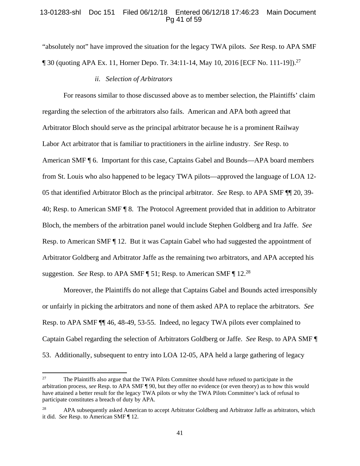## 13-01283-shl Doc 151 Filed 06/12/18 Entered 06/12/18 17:46:23 Main Document Pg 41 of 59

"absolutely not" have improved the situation for the legacy TWA pilots. *See* Resp. to APA SMF  $\P$  30 (quoting APA Ex. 11, Horner Depo. Tr. 34:11-14, May 10, 2016 [ECF No. 111-19]).<sup>27</sup>

#### *ii. Selection of Arbitrators*

For reasons similar to those discussed above as to member selection, the Plaintiffs' claim regarding the selection of the arbitrators also fails. American and APA both agreed that Arbitrator Bloch should serve as the principal arbitrator because he is a prominent Railway Labor Act arbitrator that is familiar to practitioners in the airline industry. *See* Resp. to American SMF ¶ 6. Important for this case, Captains Gabel and Bounds—APA board members from St. Louis who also happened to be legacy TWA pilots—approved the language of LOA 12- 05 that identified Arbitrator Bloch as the principal arbitrator. *See* Resp. to APA SMF ¶¶ 20, 39- 40; Resp. to American SMF ¶ 8. The Protocol Agreement provided that in addition to Arbitrator Bloch, the members of the arbitration panel would include Stephen Goldberg and Ira Jaffe. *See*  Resp. to American SMF ¶ 12. But it was Captain Gabel who had suggested the appointment of Arbitrator Goldberg and Arbitrator Jaffe as the remaining two arbitrators, and APA accepted his suggestion. *See* Resp. to APA SMF ¶ 51; Resp. to American SMF ¶ 12.28

Moreover, the Plaintiffs do not allege that Captains Gabel and Bounds acted irresponsibly or unfairly in picking the arbitrators and none of them asked APA to replace the arbitrators. *See*  Resp. to APA SMF ¶¶ 46, 48-49, 53-55.Indeed, no legacy TWA pilots ever complained to Captain Gabel regarding the selection of Arbitrators Goldberg or Jaffe. *See* Resp. to APA SMF ¶ 53. Additionally, subsequent to entry into LOA 12-05, APA held a large gathering of legacy

<sup>&</sup>lt;sup>27</sup> The Plaintiffs also argue that the TWA Pilots Committee should have refused to participate in the arbitration process, *see* Resp. to APA SMF ¶ 90, but they offer no evidence (or even theory) as to how this would have attained a better result for the legacy TWA pilots or why the TWA Pilots Committee's lack of refusal to participate constitutes a breach of duty by APA.

APA subsequently asked American to accept Arbitrator Goldberg and Arbitrator Jaffe as arbitrators, which it did. *See* Resp. to American SMF ¶ 12.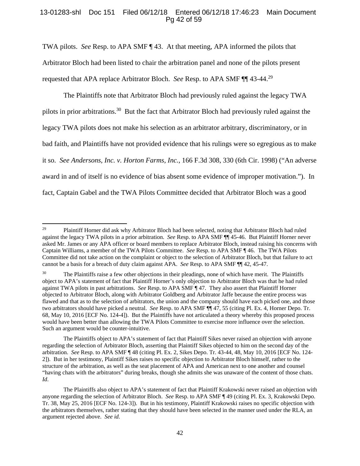# 13-01283-shl Doc 151 Filed 06/12/18 Entered 06/12/18 17:46:23 Main Document Pg 42 of 59

TWA pilots. *See* Resp. to APA SMF ¶ 43. At that meeting, APA informed the pilots that Arbitrator Bloch had been listed to chair the arbitration panel and none of the pilots present requested that APA replace Arbitrator Bloch. *See* Resp. to APA SMF ¶¶ 43-44.<sup>29</sup>

The Plaintiffs note that Arbitrator Bloch had previously ruled against the legacy TWA pilots in prior arbitrations.30 But the fact that Arbitrator Bloch had previously ruled against the legacy TWA pilots does not make his selection as an arbitrator arbitrary, discriminatory, or in bad faith, and Plaintiffs have not provided evidence that his rulings were so egregious as to make it so. *See Andersons, Inc. v. Horton Farms, Inc.*, 166 F.3d 308, 330 (6th Cir. 1998) ("An adverse award in and of itself is no evidence of bias absent some evidence of improper motivation."). In fact, Captain Gabel and the TWA Pilots Committee decided that Arbitrator Bloch was a good

The Plaintiffs object to APA's statement of fact that Plaintiff Sikes never raised an objection with anyone regarding the selection of Arbitrator Bloch, asserting that Plaintiff Sikes objected to him on the second day of the arbitration. *See* Resp. to APA SMF ¶ 48 (citing Pl. Ex. 2, Sikes Depo. Tr. 43-44, 48, May 10, 2016 [ECF No. 124- 2]). But in her testimony, Plaintiff Sikes raises no specific objection to Arbitrator Bloch himself, rather to the structure of the arbitration, as well as the seat placement of APA and American next to one another and counsel "having chats with the arbitrators" during breaks, though she admits she was unaware of the content of those chats. *Id*.

 <sup>29</sup> Plaintiff Horner did ask why Arbitrator Bloch had been selected, noting that Arbitrator Bloch had ruled against the legacy TWA pilots in a prior arbitration. *See* Resp. to APA SMF ¶¶ 45-46. But Plaintiff Horner never asked Mr. James or any APA officer or board members to replace Arbitrator Bloch, instead raising his concerns with Captain Williams, a member of the TWA Pilots Committee. *See* Resp. to APA SMF ¶ 46. The TWA Pilots Committee did not take action on the complaint or object to the selection of Arbitrator Bloch, but that failure to act cannot be a basis for a breach of duty claim against APA. *See* Resp. to APA SMF ¶¶ 42, 45-47.

<sup>&</sup>lt;sup>30</sup> The Plaintiffs raise a few other objections in their pleadings, none of which have merit. The Plaintiffs object to APA's statement of fact that Plaintiff Horner's only objection to Arbitrator Bloch was that he had ruled against TWA pilots in past arbitrations. *See* Resp. to APA SMF ¶ 47. They also assert that Plaintiff Horner objected to Arbitrator Bloch, along with Arbitrator Goldberg and Arbitrator Jaffe because the entire process was flawed and that as to the selection of arbitrators, the union and the company should have each picked one, and those two arbitrators should have picked a neutral. *See* Resp. to APA SMF ¶¶ 47, 55 (citing Pl. Ex. 4, Horner Depo. Tr. 68, May 10, 2016 [ECF No. 124-4]). But the Plaintiffs have not articulated a theory whereby this proposed process would have been better than allowing the TWA Pilots Committee to exercise more influence over the selection. Such an argument would be counter-intuitive.

The Plaintiffs also object to APA's statement of fact that Plaintiff Krakowski never raised an objection with anyone regarding the selection of Arbitrator Bloch. *See* Resp. to APA SMF ¶ 49 (citing Pl. Ex. 3, Krakowski Depo. Tr. 38, May 25, 2016 [ECF No. 124-3]). But in his testimony, Plaintiff Krakowski raises no specific objection with the arbitrators themselves, rather stating that they should have been selected in the manner used under the RLA, an argument rejected above. *See id.*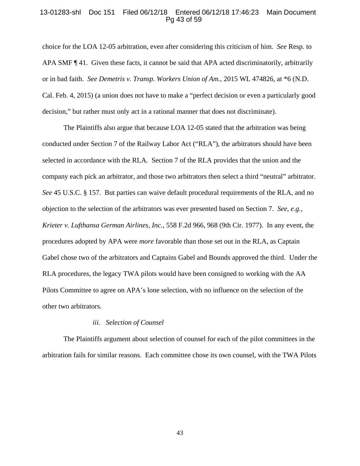## 13-01283-shl Doc 151 Filed 06/12/18 Entered 06/12/18 17:46:23 Main Document Pg 43 of 59

choice for the LOA 12-05 arbitration, even after considering this criticism of him. *See* Resp. to APA SMF ¶ 41. Given these facts, it cannot be said that APA acted discriminatorily, arbitrarily or in bad faith. *See Demetris v. Transp. Workers Union of Am.*, 2015 WL 474826, at \*6 (N.D. Cal. Feb. 4, 2015) (a union does not have to make a "perfect decision or even a particularly good decision," but rather must only act in a rational manner that does not discriminate).

The Plaintiffs also argue that because LOA 12-05 stated that the arbitration was being conducted under Section 7 of the Railway Labor Act ("RLA"), the arbitrators should have been selected in accordance with the RLA. Section 7 of the RLA provides that the union and the company each pick an arbitrator, and those two arbitrators then select a third "neutral" arbitrator. *See* 45 U.S.C. § 157. But parties can waive default procedural requirements of the RLA, and no objection to the selection of the arbitrators was ever presented based on Section 7. *See, e.g., Krieter v. Lufthansa German Airlines, Inc.*, 558 F.2d 966, 968 (9th Cir. 1977). In any event, the procedures adopted by APA were *more* favorable than those set out in the RLA, as Captain Gabel chose two of the arbitrators and Captains Gabel and Bounds approved the third. Under the RLA procedures, the legacy TWA pilots would have been consigned to working with the AA Pilots Committee to agree on APA's lone selection, with no influence on the selection of the other two arbitrators.

#### *iii. Selection of Counsel*

The Plaintiffs argument about selection of counsel for each of the pilot committees in the arbitration fails for similar reasons. Each committee chose its own counsel, with the TWA Pilots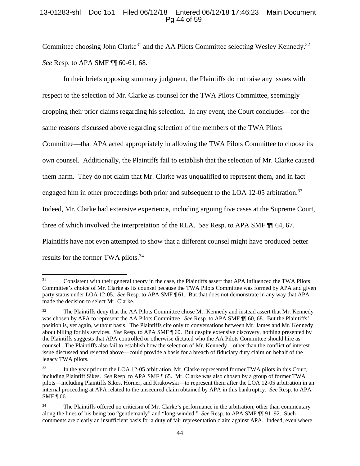# 13-01283-shl Doc 151 Filed 06/12/18 Entered 06/12/18 17:46:23 Main Document Pg 44 of 59

Committee choosing John Clarke<sup>31</sup> and the AA Pilots Committee selecting Wesley Kennedy.<sup>32</sup> *See* Resp. to APA SMF  $\P$  60-61, 68.

In their briefs opposing summary judgment, the Plaintiffs do not raise any issues with respect to the selection of Mr. Clarke as counsel for the TWA Pilots Committee, seemingly dropping their prior claims regarding his selection. In any event, the Court concludes—for the same reasons discussed above regarding selection of the members of the TWA Pilots Committee—that APA acted appropriately in allowing the TWA Pilots Committee to choose its own counsel. Additionally, the Plaintiffs fail to establish that the selection of Mr. Clarke caused them harm. They do not claim that Mr. Clarke was unqualified to represent them, and in fact engaged him in other proceedings both prior and subsequent to the LOA 12-05 arbitration.<sup>33</sup> Indeed, Mr. Clarke had extensive experience, including arguing five cases at the Supreme Court, three of which involved the interpretation of the RLA. *See* Resp. to APA SMF ¶¶ 64, 67. Plaintiffs have not even attempted to show that a different counsel might have produced better results for the former TWA pilots.<sup>34</sup>

<sup>&</sup>lt;sup>31</sup> Consistent with their general theory in the case, the Plaintiffs assert that APA influenced the TWA Pilots Committee's choice of Mr. Clarke as its counsel because the TWA Pilots Committee was formed by APA and given party status under LOA 12-05. *See* Resp. to APA SMF ¶ 61. But that does not demonstrate in any way that APA made the decision to select Mr. Clarke.

<sup>&</sup>lt;sup>32</sup> The Plaintiffs deny that the AA Pilots Committee chose Mr. Kennedy and instead assert that Mr. Kennedy was chosen by APA to represent the AA Pilots Committee. *See* Resp. to APA SMF ¶ 60, 68. But the Plaintiffs' position is, yet again, without basis. The Plaintiffs cite only to conversations between Mr. James and Mr. Kennedy about billing for his services. *See* Resp. to APA SMF ¶ 60. But despite extensive discovery, nothing presented by the Plaintiffs suggests that APA controlled or otherwise dictated who the AA Pilots Committee should hire as counsel. The Plaintiffs also fail to establish how the selection of Mr. Kennedy—other than the conflict of interest issue discussed and rejected above—could provide a basis for a breach of fiduciary duty claim on behalf of the legacy TWA pilots.

<sup>&</sup>lt;sup>33</sup> In the year prior to the LOA 12-05 arbitration, Mr. Clarke represented former TWA pilots in this Court, including Plaintiff Sikes. *See* Resp. to APA SMF ¶ 65. Mr. Clarke was also chosen by a group of former TWA pilots—including Plaintiffs Sikes, Horner, and Krakowski—to represent them after the LOA 12-05 arbitration in an internal proceeding at APA related to the unsecured claim obtained by APA in this bankruptcy. *See* Resp. to APA SMF ¶ 66.

<sup>&</sup>lt;sup>34</sup> The Plaintiffs offered no criticism of Mr. Clarke's performance in the arbitration, other than commentary along the lines of his being too "gentlemanly" and "long-winded." *See* Resp. to APA SMF ¶¶ 91–92. Such comments are clearly an insufficient basis for a duty of fair representation claim against APA. Indeed, even where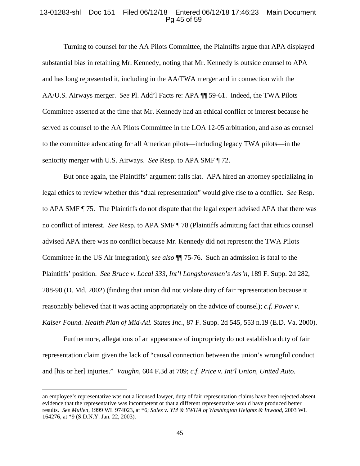## 13-01283-shl Doc 151 Filed 06/12/18 Entered 06/12/18 17:46:23 Main Document Pg 45 of 59

 Turning to counsel for the AA Pilots Committee, the Plaintiffs argue that APA displayed substantial bias in retaining Mr. Kennedy, noting that Mr. Kennedy is outside counsel to APA and has long represented it, including in the AA/TWA merger and in connection with the AA/U.S. Airways merger. *See* Pl. Add'l Facts re: APA ¶¶ 59-61.Indeed, the TWA Pilots Committee asserted at the time that Mr. Kennedy had an ethical conflict of interest because he served as counsel to the AA Pilots Committee in the LOA 12-05 arbitration, and also as counsel to the committee advocating for all American pilots—including legacy TWA pilots—in the seniority merger with U.S. Airways. *See* Resp. to APA SMF ¶ 72.

But once again, the Plaintiffs' argument falls flat. APA hired an attorney specializing in legal ethics to review whether this "dual representation" would give rise to a conflict. *See* Resp. to APA SMF ¶ 75. The Plaintiffs do not dispute that the legal expert advised APA that there was no conflict of interest. *See* Resp. to APA SMF ¶ 78 (Plaintiffs admitting fact that ethics counsel advised APA there was no conflict because Mr. Kennedy did not represent the TWA Pilots Committee in the US Air integration); *see also* ¶¶ 75-76. Such an admission is fatal to the Plaintiffs' position. *See Bruce v. Local 333, Int'l Longshoremen's Ass'n*, 189 F. Supp. 2d 282, 288-90 (D. Md. 2002) (finding that union did not violate duty of fair representation because it reasonably believed that it was acting appropriately on the advice of counsel); *c.f. Power v. Kaiser Found. Health Plan of Mid-Atl. States Inc.*, 87 F. Supp. 2d 545, 553 n.19 (E.D. Va. 2000).

Furthermore, allegations of an appearance of impropriety do not establish a duty of fair representation claim given the lack of "causal connection between the union's wrongful conduct and [his or her] injuries." *Vaughn*, 604 F.3d at 709; *c.f. Price v. Int'l Union, United Auto.* 

an employee's representative was not a licensed lawyer, duty of fair representation claims have been rejected absent evidence that the representative was incompetent or that a different representative would have produced better results. *See Mullen*, 1999 WL 974023, at \*6; *Sales v. YM & YWHA of Washington Heights & Inwood*, 2003 WL 164276, at \*9 (S.D.N.Y. Jan. 22, 2003).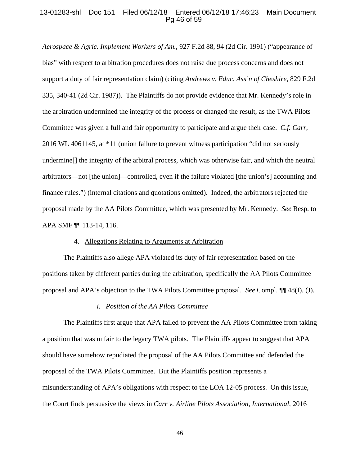### 13-01283-shl Doc 151 Filed 06/12/18 Entered 06/12/18 17:46:23 Main Document Pg 46 of 59

*Aerospace & Agric. Implement Workers of Am.*, 927 F.2d 88, 94 (2d Cir. 1991) ("appearance of bias" with respect to arbitration procedures does not raise due process concerns and does not support a duty of fair representation claim) (citing *Andrews v. Educ. Ass'n of Cheshire*, 829 F.2d 335, 340-41 (2d Cir. 1987)). The Plaintiffs do not provide evidence that Mr. Kennedy's role in the arbitration undermined the integrity of the process or changed the result, as the TWA Pilots Committee was given a full and fair opportunity to participate and argue their case. *C.f. Carr*, 2016 WL 4061145, at \*11 (union failure to prevent witness participation "did not seriously undermine[] the integrity of the arbitral process, which was otherwise fair, and which the neutral arbitrators—not [the union]—controlled, even if the failure violated [the union's] accounting and finance rules.") (internal citations and quotations omitted). Indeed, the arbitrators rejected the proposal made by the AA Pilots Committee, which was presented by Mr. Kennedy. *See* Resp. to APA SMF ¶¶ 113-14, 116.

#### 4. Allegations Relating to Arguments at Arbitration

The Plaintiffs also allege APA violated its duty of fair representation based on the positions taken by different parties during the arbitration, specifically the AA Pilots Committee proposal and APA's objection to the TWA Pilots Committee proposal. *See* Compl. ¶¶ 48(I), (J).

#### *i. Position of the AA Pilots Committee*

The Plaintiffs first argue that APA failed to prevent the AA Pilots Committee from taking a position that was unfair to the legacy TWA pilots. The Plaintiffs appear to suggest that APA should have somehow repudiated the proposal of the AA Pilots Committee and defended the proposal of the TWA Pilots Committee. But the Plaintiffs position represents a misunderstanding of APA's obligations with respect to the LOA 12-05 process. On this issue, the Court finds persuasive the views in *Carr v. Airline Pilots Association, International*, 2016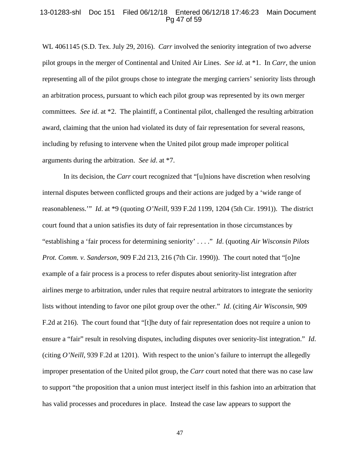#### 13-01283-shl Doc 151 Filed 06/12/18 Entered 06/12/18 17:46:23 Main Document Pg 47 of 59

WL 4061145 (S.D. Tex. July 29, 2016). *Carr* involved the seniority integration of two adverse pilot groups in the merger of Continental and United Air Lines. *See id*. at \*1. In *Carr*, the union representing all of the pilot groups chose to integrate the merging carriers' seniority lists through an arbitration process, pursuant to which each pilot group was represented by its own merger committees. *See id*. at \*2. The plaintiff, a Continental pilot, challenged the resulting arbitration award, claiming that the union had violated its duty of fair representation for several reasons, including by refusing to intervene when the United pilot group made improper political arguments during the arbitration. *See id*. at \*7.

In its decision, the *Carr* court recognized that "[u]nions have discretion when resolving internal disputes between conflicted groups and their actions are judged by a 'wide range of reasonableness.'" *Id*. at \*9 (quoting *O'Neill*, 939 F.2d 1199, 1204 (5th Cir. 1991)). The district court found that a union satisfies its duty of fair representation in those circumstances by "establishing a 'fair process for determining seniority' . . . ." *Id*. (quoting *Air Wisconsin Pilots Prot. Comm. v. Sanderson*, 909 F.2d 213, 216 (7th Cir. 1990)). The court noted that "[o]ne example of a fair process is a process to refer disputes about seniority-list integration after airlines merge to arbitration, under rules that require neutral arbitrators to integrate the seniority lists without intending to favor one pilot group over the other." *Id*. (citing *Air Wisconsin*, 909 F.2d at 216). The court found that "[t]he duty of fair representation does not require a union to ensure a "fair" result in resolving disputes, including disputes over seniority-list integration." *Id*. (citing *O'Neill*, 939 F.2d at 1201). With respect to the union's failure to interrupt the allegedly improper presentation of the United pilot group, the *Carr* court noted that there was no case law to support "the proposition that a union must interject itself in this fashion into an arbitration that has valid processes and procedures in place. Instead the case law appears to support the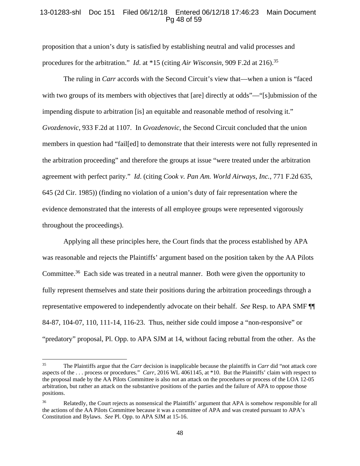## 13-01283-shl Doc 151 Filed 06/12/18 Entered 06/12/18 17:46:23 Main Document Pg 48 of 59

proposition that a union's duty is satisfied by establishing neutral and valid processes and procedures for the arbitration." *Id.* at \*15 (citing *Air Wisconsin*, 909 F.2d at 216).<sup>35</sup>

The ruling in *Carr* accords with the Second Circuit's view that—when a union is "faced with two groups of its members with objectives that [are] directly at odds"—"[s]ubmission of the impending dispute to arbitration [is] an equitable and reasonable method of resolving it." *Gvozdenovic*, 933 F.2d at 1107. In *Gvozdenovic*, the Second Circuit concluded that the union members in question had "fail[ed] to demonstrate that their interests were not fully represented in the arbitration proceeding" and therefore the groups at issue "were treated under the arbitration agreement with perfect parity." *Id*. (citing *Cook v. Pan Am. World Airways, Inc.*, 771 F.2d 635, 645 (2d Cir. 1985)) (finding no violation of a union's duty of fair representation where the evidence demonstrated that the interests of all employee groups were represented vigorously throughout the proceedings).

Applying all these principles here, the Court finds that the process established by APA was reasonable and rejects the Plaintiffs' argument based on the position taken by the AA Pilots Committee.<sup>36</sup> Each side was treated in a neutral manner. Both were given the opportunity to fully represent themselves and state their positions during the arbitration proceedings through a representative empowered to independently advocate on their behalf. *See* Resp. to APA SMF ¶¶ 84-87, 104-07, 110, 111-14, 116-23. Thus, neither side could impose a "non-responsive" or "predatory" proposal, Pl. Opp. to APA SJM at 14, without facing rebuttal from the other. As the

<sup>35</sup> The Plaintiffs argue that the *Carr* decision is inapplicable because the plaintiffs in *Carr* did "not attack core aspects of the . . . process or procedures." *Carr*, 2016 WL 4061145, at \*10. But the Plaintiffs' claim with respect to the proposal made by the AA Pilots Committee is also not an attack on the procedures or process of the LOA 12-05 arbitration, but rather an attack on the substantive positions of the parties and the failure of APA to oppose those positions.

<sup>36</sup> Relatedly, the Court rejects as nonsensical the Plaintiffs' argument that APA is somehow responsible for all the actions of the AA Pilots Committee because it was a committee of APA and was created pursuant to APA's Constitution and Bylaws. *See* Pl. Opp. to APA SJM at 15-16.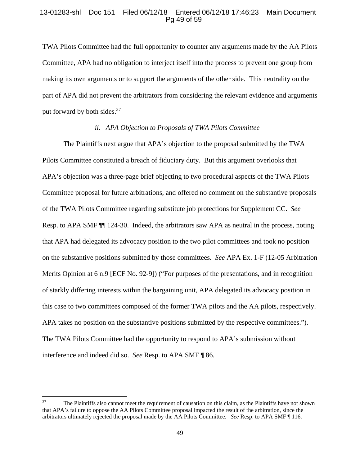## 13-01283-shl Doc 151 Filed 06/12/18 Entered 06/12/18 17:46:23 Main Document Pg 49 of 59

TWA Pilots Committee had the full opportunity to counter any arguments made by the AA Pilots Committee, APA had no obligation to interject itself into the process to prevent one group from making its own arguments or to support the arguments of the other side. This neutrality on the part of APA did not prevent the arbitrators from considering the relevant evidence and arguments put forward by both sides.<sup>37</sup>

#### *ii. APA Objection to Proposals of TWA Pilots Committee*

The Plaintiffs next argue that APA's objection to the proposal submitted by the TWA Pilots Committee constituted a breach of fiduciary duty. But this argument overlooks that APA's objection was a three-page brief objecting to two procedural aspects of the TWA Pilots Committee proposal for future arbitrations, and offered no comment on the substantive proposals of the TWA Pilots Committee regarding substitute job protections for Supplement CC. *See* Resp. to APA SMF ¶¶ 124-30. Indeed, the arbitrators saw APA as neutral in the process, noting that APA had delegated its advocacy position to the two pilot committees and took no position on the substantive positions submitted by those committees. *See* APA Ex. 1-F (12-05 Arbitration Merits Opinion at 6 n.9 [ECF No. 92-9]) ("For purposes of the presentations, and in recognition of starkly differing interests within the bargaining unit, APA delegated its advocacy position in this case to two committees composed of the former TWA pilots and the AA pilots, respectively. APA takes no position on the substantive positions submitted by the respective committees."). The TWA Pilots Committee had the opportunity to respond to APA's submission without interference and indeed did so. *See* Resp. to APA SMF ¶ 86.

<sup>&</sup>lt;sup>37</sup> The Plaintiffs also cannot meet the requirement of causation on this claim, as the Plaintiffs have not shown that APA's failure to oppose the AA Pilots Committee proposal impacted the result of the arbitration, since the arbitrators ultimately rejected the proposal made by the AA Pilots Committee. *See* Resp. to APA SMF ¶ 116.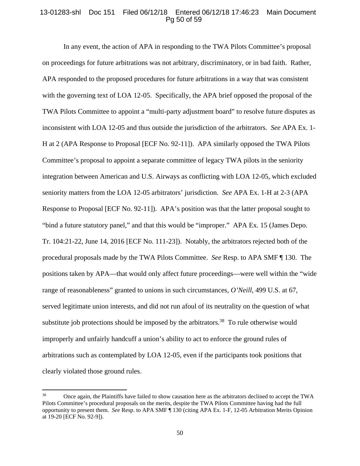## 13-01283-shl Doc 151 Filed 06/12/18 Entered 06/12/18 17:46:23 Main Document Pg 50 of 59

In any event, the action of APA in responding to the TWA Pilots Committee's proposal on proceedings for future arbitrations was not arbitrary, discriminatory, or in bad faith. Rather, APA responded to the proposed procedures for future arbitrations in a way that was consistent with the governing text of LOA 12-05. Specifically, the APA brief opposed the proposal of the TWA Pilots Committee to appoint a "multi-party adjustment board" to resolve future disputes as inconsistent with LOA 12-05 and thus outside the jurisdiction of the arbitrators. *See* APA Ex. 1- H at 2 (APA Response to Proposal [ECF No. 92-11]). APA similarly opposed the TWA Pilots Committee's proposal to appoint a separate committee of legacy TWA pilots in the seniority integration between American and U.S. Airways as conflicting with LOA 12-05, which excluded seniority matters from the LOA 12-05 arbitrators' jurisdiction. *See* APA Ex. 1-H at 2-3 (APA Response to Proposal [ECF No. 92-11]). APA's position was that the latter proposal sought to "bind a future statutory panel," and that this would be "improper." APA Ex. 15 (James Depo. Tr. 104:21-22, June 14, 2016 [ECF No. 111-23]). Notably, the arbitrators rejected both of the procedural proposals made by the TWA Pilots Committee. *See* Resp. to APA SMF ¶ 130. The positions taken by APA—that would only affect future proceedings—were well within the "wide range of reasonableness" granted to unions in such circumstances, *O'Neill*, 499 U.S. at 67, served legitimate union interests, and did not run afoul of its neutrality on the question of what substitute job protections should be imposed by the arbitrators.<sup>38</sup> To rule otherwise would improperly and unfairly handcuff a union's ability to act to enforce the ground rules of arbitrations such as contemplated by LOA 12-05, even if the participants took positions that clearly violated those ground rules.

<sup>38</sup> Once again, the Plaintiffs have failed to show causation here as the arbitrators declined to accept the TWA Pilots Committee's procedural proposals on the merits, despite the TWA Pilots Committee having had the full opportunity to present them. *See* Resp. to APA SMF ¶ 130 (citing APA Ex. 1-F, 12-05 Arbitration Merits Opinion at 19-20 [ECF No. 92-9]).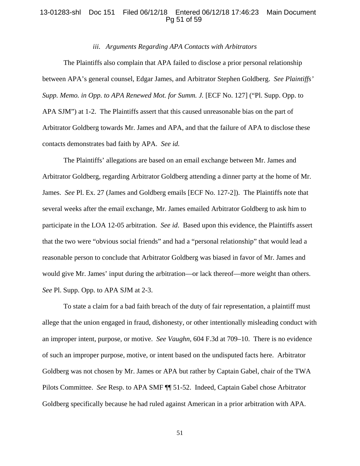### 13-01283-shl Doc 151 Filed 06/12/18 Entered 06/12/18 17:46:23 Main Document Pg 51 of 59

## *iii. Arguments Regarding APA Contacts with Arbitrators*

The Plaintiffs also complain that APA failed to disclose a prior personal relationship between APA's general counsel, Edgar James, and Arbitrator Stephen Goldberg. *See Plaintiffs' Supp. Memo. in Opp. to APA Renewed Mot. for Summ. J.* [ECF No. 127] ("Pl. Supp. Opp. to APA SJM") at 1-2. The Plaintiffs assert that this caused unreasonable bias on the part of Arbitrator Goldberg towards Mr. James and APA, and that the failure of APA to disclose these contacts demonstrates bad faith by APA. *See id.* 

 The Plaintiffs' allegations are based on an email exchange between Mr. James and Arbitrator Goldberg, regarding Arbitrator Goldberg attending a dinner party at the home of Mr. James. *See* Pl. Ex. 27 (James and Goldberg emails [ECF No. 127-2]). The Plaintiffs note that several weeks after the email exchange, Mr. James emailed Arbitrator Goldberg to ask him to participate in the LOA 12-05 arbitration. *See id*. Based upon this evidence, the Plaintiffs assert that the two were "obvious social friends" and had a "personal relationship" that would lead a reasonable person to conclude that Arbitrator Goldberg was biased in favor of Mr. James and would give Mr. James' input during the arbitration—or lack thereof—more weight than others. *See* Pl. Supp. Opp. to APA SJM at 2-3.

 To state a claim for a bad faith breach of the duty of fair representation, a plaintiff must allege that the union engaged in fraud, dishonesty, or other intentionally misleading conduct with an improper intent, purpose, or motive. *See Vaughn,* 604 F.3d at 709–10. There is no evidence of such an improper purpose, motive, or intent based on the undisputed facts here.Arbitrator Goldberg was not chosen by Mr. James or APA but rather by Captain Gabel, chair of the TWA Pilots Committee. *See* Resp. to APA SMF ¶¶ 51-52. Indeed, Captain Gabel chose Arbitrator Goldberg specifically because he had ruled against American in a prior arbitration with APA.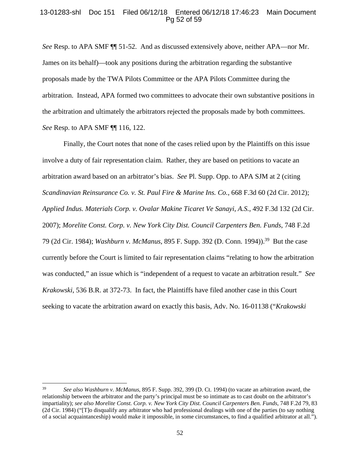## 13-01283-shl Doc 151 Filed 06/12/18 Entered 06/12/18 17:46:23 Main Document Pg 52 of 59

*See* Resp. to APA SMF  $\P$  51-52. And as discussed extensively above, neither APA—nor Mr. James on its behalf)—took any positions during the arbitration regarding the substantive proposals made by the TWA Pilots Committee or the APA Pilots Committee during the arbitration. Instead, APA formed two committees to advocate their own substantive positions in the arbitration and ultimately the arbitrators rejected the proposals made by both committees. *See* Resp. to APA SMF ¶¶ 116, 122.

Finally, the Court notes that none of the cases relied upon by the Plaintiffs on this issue involve a duty of fair representation claim. Rather, they are based on petitions to vacate an arbitration award based on an arbitrator's bias. *See* Pl. Supp. Opp. to APA SJM at 2 (citing *Scandinavian Reinsurance Co. v. St. Paul Fire & Marine Ins. Co.*, 668 F.3d 60 (2d Cir. 2012); *Applied Indus. Materials Corp. v. Ovalar Makine Ticaret Ve Sanayi*, *A.S.*, 492 F.3d 132 (2d Cir. 2007); *Morelite Const. Corp. v. New York City Dist. Council Carpenters Ben. Funds*, 748 F.2d 79 (2d Cir. 1984); *Washburn v. McManus*, 895 F. Supp. 392 (D. Conn. 1994)).39 But the case currently before the Court is limited to fair representation claims "relating to how the arbitration was conducted," an issue which is "independent of a request to vacate an arbitration result." *See Krakowski*, 536 B.R. at 372-73. In fact, the Plaintiffs have filed another case in this Court seeking to vacate the arbitration award on exactly this basis, Adv. No. 16-01138 ("*Krakowski* 

<sup>39</sup> *See also Washburn v. McManus*, 895 F. Supp. 392, 399 (D. Ct. 1994) (to vacate an arbitration award, the relationship between the arbitrator and the party's principal must be so intimate as to cast doubt on the arbitrator's impartiality); *see also Morelite Const. Corp. v. New York City Dist. Council Carpenters Ben. Funds*, 748 F.2d 79, 83 (2d Cir. 1984) ("[T]o disqualify any arbitrator who had professional dealings with one of the parties (to say nothing of a social acquaintanceship) would make it impossible, in some circumstances, to find a qualified arbitrator at all.").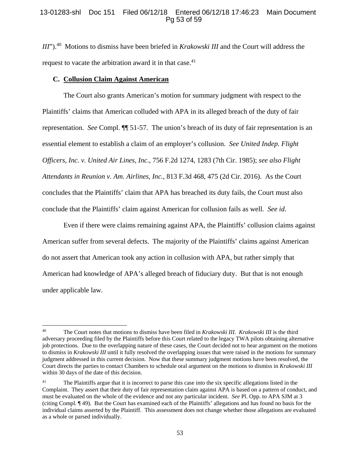# 13-01283-shl Doc 151 Filed 06/12/18 Entered 06/12/18 17:46:23 Main Document Pg 53 of 59

*III*").<sup>40</sup> Motions to dismiss have been briefed in *Krakowski III* and the Court will address the request to vacate the arbitration award it in that case.<sup>41</sup>

### **C. Collusion Claim Against American**

The Court also grants American's motion for summary judgment with respect to the Plaintiffs' claims that American colluded with APA in its alleged breach of the duty of fair representation. *See* Compl. ¶¶ 51-57. The union's breach of its duty of fair representation is an essential element to establish a claim of an employer's collusion. *See United Indep. Flight Officers, Inc. v. United Air Lines, Inc.*, 756 F.2d 1274, 1283 (7th Cir. 1985); *see also Flight Attendants in Reunion v. Am. Airlines, Inc.*, 813 F.3d 468, 475 (2d Cir. 2016). As the Court concludes that the Plaintiffs' claim that APA has breached its duty fails, the Court must also conclude that the Plaintiffs' claim against American for collusion fails as well. *See id*.

Even if there were claims remaining against APA, the Plaintiffs' collusion claims against American suffer from several defects. The majority of the Plaintiffs' claims against American do not assert that American took any action in collusion with APA, but rather simply that American had knowledge of APA's alleged breach of fiduciary duty. But that is not enough under applicable law.

<sup>40</sup> The Court notes that motions to dismiss have been filed in *Krakowski III*. *Krakowski III* is the third adversary proceeding filed by the Plaintiffs before this Court related to the legacy TWA pilots obtaining alternative job protections. Due to the overlapping nature of these cases, the Court decided not to hear argument on the motions to dismiss in *Krakowski III* until it fully resolved the overlapping issues that were raised in the motions for summary judgment addressed in this current decision. Now that these summary judgment motions have been resolved, the Court directs the parties to contact Chambers to schedule oral argument on the motions to dismiss in *Krakowski III* within 30 days of the date of this decision.

<sup>&</sup>lt;sup>41</sup> The Plaintiffs argue that it is incorrect to parse this case into the six specific allegations listed in the Complaint. They assert that their duty of fair representation claim against APA is based on a pattern of conduct, and must be evaluated on the whole of the evidence and not any particular incident. *See* Pl. Opp. to APA SJM at 3 (citing Compl. ¶ 49). But the Court has examined each of the Plaintiffs' allegations and has found no basis for the individual claims asserted by the Plaintiff. This assessment does not change whether those allegations are evaluated as a whole or parsed individually.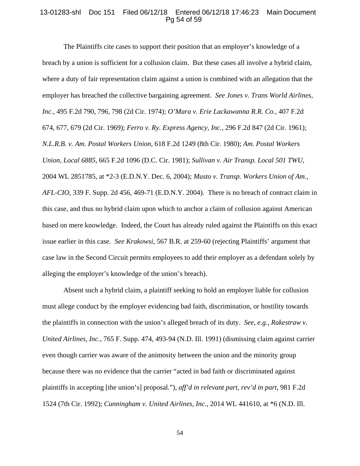#### 13-01283-shl Doc 151 Filed 06/12/18 Entered 06/12/18 17:46:23 Main Document Pg 54 of 59

The Plaintiffs cite cases to support their position that an employer's knowledge of a breach by a union is sufficient for a collusion claim. But these cases all involve a hybrid claim, where a duty of fair representation claim against a union is combined with an allegation that the employer has breached the collective bargaining agreement. *See Jones v. Trans World Airlines, Inc.*, 495 F.2d 790, 796, 798 (2d Cir. 1974); *O'Mara v. Erie Lackawanna R.R. Co.*, 407 F.2d 674, 677, 679 (2d Cir. 1969); *Ferro v. Ry. Express Agency, Inc.*, 296 F.2d 847 (2d Cir. 1961); *N.L.R.B. v. Am. Postal Workers Union*, 618 F.2d 1249 (8th Cir. 1980); *Am. Postal Workers Union, Local 6885*, 665 F.2d 1096 (D.C. Cir. 1981); *Sullivan v. Air Transp. Local 501 TWU*, 2004 WL 2851785, at \*2-3 (E.D.N.Y. Dec. 6, 2004); *Musto v. Transp. Workers Union of Am., AFL-CIO*, 339 F. Supp. 2d 456, 469-71 (E.D.N.Y. 2004). There is no breach of contract claim in this case, and thus no hybrid claim upon which to anchor a claim of collusion against American based on mere knowledge. Indeed, the Court has already ruled against the Plaintiffs on this exact issue earlier in this case. *See Krakowsi*, 567 B.R. at 259-60 (rejecting Plaintiffs' argument that case law in the Second Circuit permits employees to add their employer as a defendant solely by alleging the employer's knowledge of the union's breach).

Absent such a hybrid claim, a plaintiff seeking to hold an employer liable for collusion must allege conduct by the employer evidencing bad faith, discrimination, or hostility towards the plaintiffs in connection with the union's alleged breach of its duty. *See, e.g., Rakestraw v. United Airlines, Inc.*, 765 F. Supp. 474, 493-94 (N.D. Ill. 1991) (dismissing claim against carrier even though carrier was aware of the animosity between the union and the minority group because there was no evidence that the carrier "acted in bad faith or discriminated against plaintiffs in accepting [the union's] proposal."), *aff'd in relevant part, rev'd in part*, 981 F.2d 1524 (7th Cir. 1992); *Cunningham v. United Airlines, Inc.*, 2014 WL 441610, at \*6 (N.D. Ill.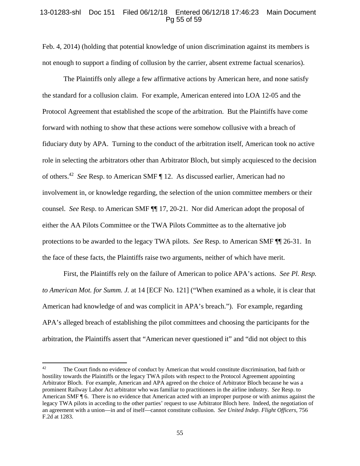### 13-01283-shl Doc 151 Filed 06/12/18 Entered 06/12/18 17:46:23 Main Document Pg 55 of 59

Feb. 4, 2014) (holding that potential knowledge of union discrimination against its members is not enough to support a finding of collusion by the carrier, absent extreme factual scenarios).

The Plaintiffs only allege a few affirmative actions by American here, and none satisfy the standard for a collusion claim. For example, American entered into LOA 12-05 and the Protocol Agreement that established the scope of the arbitration. But the Plaintiffs have come forward with nothing to show that these actions were somehow collusive with a breach of fiduciary duty by APA. Turning to the conduct of the arbitration itself, American took no active role in selecting the arbitrators other than Arbitrator Bloch, but simply acquiesced to the decision of others.42 *See* Resp. to American SMF ¶ 12. As discussed earlier, American had no involvement in, or knowledge regarding, the selection of the union committee members or their counsel. *See* Resp. to American SMF ¶¶ 17, 20-21. Nor did American adopt the proposal of either the AA Pilots Committee or the TWA Pilots Committee as to the alternative job protections to be awarded to the legacy TWA pilots. *See* Resp. to American SMF ¶¶ 26-31.In the face of these facts, the Plaintiffs raise two arguments, neither of which have merit.

First, the Plaintiffs rely on the failure of American to police APA's actions. *See Pl. Resp. to American Mot. for Summ. J.* at 14 [ECF No. 121] ("When examined as a whole, it is clear that American had knowledge of and was complicit in APA's breach."). For example, regarding APA's alleged breach of establishing the pilot committees and choosing the participants for the arbitration, the Plaintiffs assert that "American never questioned it" and "did not object to this

<sup>&</sup>lt;sup>42</sup> The Court finds no evidence of conduct by American that would constitute discrimination, bad faith or hostility towards the Plaintiffs or the legacy TWA pilots with respect to the Protocol Agreement appointing Arbitrator Bloch. For example, American and APA agreed on the choice of Arbitrator Bloch because he was a prominent Railway Labor Act arbitrator who was familiar to practitioners in the airline industry. *See* Resp. to American SMF ¶ 6. There is no evidence that American acted with an improper purpose or with animus against the legacy TWA pilots in acceding to the other parties' request to use Arbitrator Bloch here. Indeed, the negotiation of an agreement with a union—in and of itself—cannot constitute collusion. *See United Indep. Flight Officers*, 756 F.2d at 1283.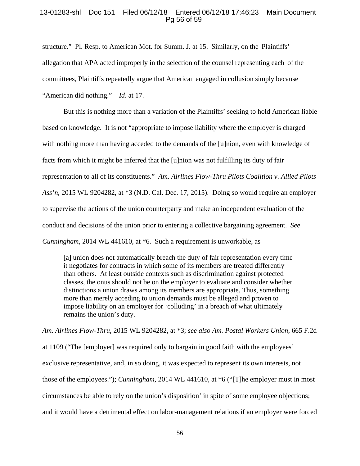### 13-01283-shl Doc 151 Filed 06/12/18 Entered 06/12/18 17:46:23 Main Document Pg 56 of 59

structure." Pl. Resp. to American Mot. for Summ. J. at 15. Similarly, on the Plaintiffs' allegation that APA acted improperly in the selection of the counsel representing each of the committees, Plaintiffs repeatedly argue that American engaged in collusion simply because "American did nothing." *Id*. at 17.

But this is nothing more than a variation of the Plaintiffs' seeking to hold American liable based on knowledge. It is not "appropriate to impose liability where the employer is charged with nothing more than having acceded to the demands of the [u]nion, even with knowledge of facts from which it might be inferred that the [u]nion was not fulfilling its duty of fair representation to all of its constituents." *Am. Airlines Flow-Thru Pilots Coalition v. Allied Pilots Ass'n*, 2015 WL 9204282, at \*3 (N.D. Cal. Dec. 17, 2015). Doing so would require an employer to supervise the actions of the union counterparty and make an independent evaluation of the conduct and decisions of the union prior to entering a collective bargaining agreement. *See Cunningham*, 2014 WL 441610, at \*6. Such a requirement is unworkable, as

[a] union does not automatically breach the duty of fair representation every time it negotiates for contracts in which some of its members are treated differently than others. At least outside contexts such as discrimination against protected classes, the onus should not be on the employer to evaluate and consider whether distinctions a union draws among its members are appropriate. Thus, something more than merely acceding to union demands must be alleged and proven to impose liability on an employer for 'colluding' in a breach of what ultimately remains the union's duty.

*Am. Airlines Flow-Thru*, 2015 WL 9204282, at \*3; *see also Am. Postal Workers Union*, 665 F.2d at 1109 ("The [employer] was required only to bargain in good faith with the employees' exclusive representative, and, in so doing, it was expected to represent its own interests, not those of the employees."); *Cunningham*, 2014 WL 441610, at \*6 ("[T]he employer must in most circumstances be able to rely on the union's disposition' in spite of some employee objections; and it would have a detrimental effect on labor-management relations if an employer were forced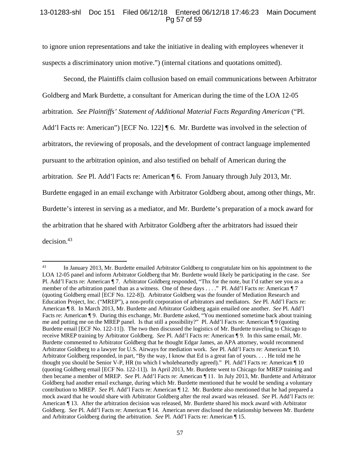## 13-01283-shl Doc 151 Filed 06/12/18 Entered 06/12/18 17:46:23 Main Document Pg 57 of 59

to ignore union representations and take the initiative in dealing with employees whenever it suspects a discriminatory union motive.") (internal citations and quotations omitted).

Second, the Plaintiffs claim collusion based on email communications between Arbitrator Goldberg and Mark Burdette, a consultant for American during the time of the LOA 12-05 arbitration. *See Plaintiffs' Statement of Additional Material Facts Regarding American* ("Pl. Add'l Facts re: American") [ECF No. 122] [6. Mr. Burdette was involved in the selection of arbitrators, the reviewing of proposals, and the development of contract language implemented pursuant to the arbitration opinion, and also testified on behalf of American during the arbitration. *See* Pl. Add'l Facts re: American ¶ 6. From January through July 2013, Mr. Burdette engaged in an email exchange with Arbitrator Goldberg about, among other things, Mr. Burdette's interest in serving as a mediator, and Mr. Burdette's preparation of a mock award for the arbitration that he shared with Arbitrator Goldberg after the arbitrators had issued their decision.<sup>43</sup>

<sup>&</sup>lt;sup>43</sup> In January 2013, Mr. Burdette emailed Arbitrator Goldberg to congratulate him on his appointment to the LOA 12-05 panel and inform Arbitrator Goldberg that Mr. Burdette would likely be participating in the case. *See*  Pl. Add'l Facts re: American ¶ 7. Arbitrator Goldberg responded, "Thx for the note, but I'd rather see you as a member of the arbitration panel than as a witness. One of these days . . . ." Pl. Add'l Facts re: American ¶ 7 (quoting Goldberg email [ECF No. 122-8]). Arbitrator Goldberg was the founder of Mediation Research and Education Project, Inc. ("MREP"), a non-profit corporation of arbitrators and mediators. *See* Pl. Add'l Facts re: American ¶ 8. In March 2013, Mr. Burdette and Arbitrator Goldberg again emailed one another. *See* Pl. Add'l Facts re: American ¶ 9. During this exchange, Mr. Burdette asked, "You mentioned sometime back about training me and putting me on the MREP panel. Is that still a possibility?" Pl. Add'l Facts re: American ¶ 9 (quoting Burdette email [ECF No. 122-11]). The two then discussed the logistics of Mr. Burdette traveling to Chicago to receive MREP training by Arbitrator Goldberg. *See* Pl. Add'l Facts re: American ¶ 9. In this same email, Mr. Burdette commented to Arbitrator Goldberg that he thought Edgar James, an APA attorney, would recommend Arbitrator Goldberg to a lawyer for U.S. Airways for mediation work. *See* Pl. Add'l Facts re: American ¶ 10. Arbitrator Goldberg responded, in part, "By the way, I know that Ed is a great fan of yours. . . . He told me he thought you should be Senior V-P, HR (to which I wholeheartedly agreed)." Pl. Add'l Facts re: American ¶ 10 (quoting Goldberg email [ECF No. 122-11]). In April 2013, Mr. Burdette went to Chicago for MREP training and then became a member of MREP. *See* Pl. Add'l Facts re: American ¶ 11. In July 2013, Mr. Burdette and Arbitrator Goldberg had another email exchange, during which Mr. Burdette mentioned that he would be sending a voluntary contribution to MREP. *See* Pl. Add'l Facts re: American ¶ 12. Mr. Burdette also mentioned that he had prepared a mock award that he would share with Arbitrator Goldberg after the real award was released. *See* Pl. Add'l Facts re: American ¶ 13. After the arbitration decision was released, Mr. Burdette shared his mock award with Arbitrator Goldberg. *See* Pl. Add'l Facts re: American ¶ 14. American never disclosed the relationship between Mr. Burdette and Arbitrator Goldberg during the arbitration. *See* Pl. Add'l Facts re: American ¶ 15.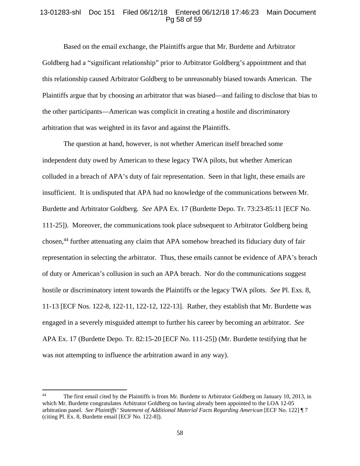## 13-01283-shl Doc 151 Filed 06/12/18 Entered 06/12/18 17:46:23 Main Document Pg 58 of 59

Based on the email exchange, the Plaintiffs argue that Mr. Burdette and Arbitrator Goldberg had a "significant relationship" prior to Arbitrator Goldberg's appointment and that this relationship caused Arbitrator Goldberg to be unreasonably biased towards American. The Plaintiffs argue that by choosing an arbitrator that was biased—and failing to disclose that bias to the other participants—American was complicit in creating a hostile and discriminatory arbitration that was weighted in its favor and against the Plaintiffs.

The question at hand, however, is not whether American itself breached some independent duty owed by American to these legacy TWA pilots, but whether American colluded in a breach of APA's duty of fair representation. Seen in that light, these emails are insufficient. It is undisputed that APA had no knowledge of the communications between Mr. Burdette and Arbitrator Goldberg. *See* APA Ex. 17 (Burdette Depo. Tr. 73:23-85:11 [ECF No. 111-25]). Moreover, the communications took place subsequent to Arbitrator Goldberg being chosen,<sup>44</sup> further attenuating any claim that APA somehow breached its fiduciary duty of fair representation in selecting the arbitrator. Thus, these emails cannot be evidence of APA's breach of duty or American's collusion in such an APA breach. Nor do the communications suggest hostile or discriminatory intent towards the Plaintiffs or the legacy TWA pilots. *See* Pl. Exs. 8, 11-13 [ECF Nos. 122-8, 122-11, 122-12, 122-13]. Rather, they establish that Mr. Burdette was engaged in a severely misguided attempt to further his career by becoming an arbitrator. *See* APA Ex. 17 (Burdette Depo. Tr. 82:15-20 [ECF No. 111-25]) (Mr. Burdette testifying that he was not attempting to influence the arbitration award in any way).

<sup>&</sup>lt;sup>44</sup> The first email cited by the Plaintiffs is from Mr. Burdette to Arbitrator Goldberg on January 10, 2013, in which Mr. Burdette congratulates Arbitrator Goldberg on having already been appointed to the LOA 12-05 arbitration panel. *See Plaintiffs' Statement of Additional Material Facts Regarding American* [ECF No. 122] ¶ 7 (citing Pl. Ex. 8, Burdette email [ECF No. 122-8]).